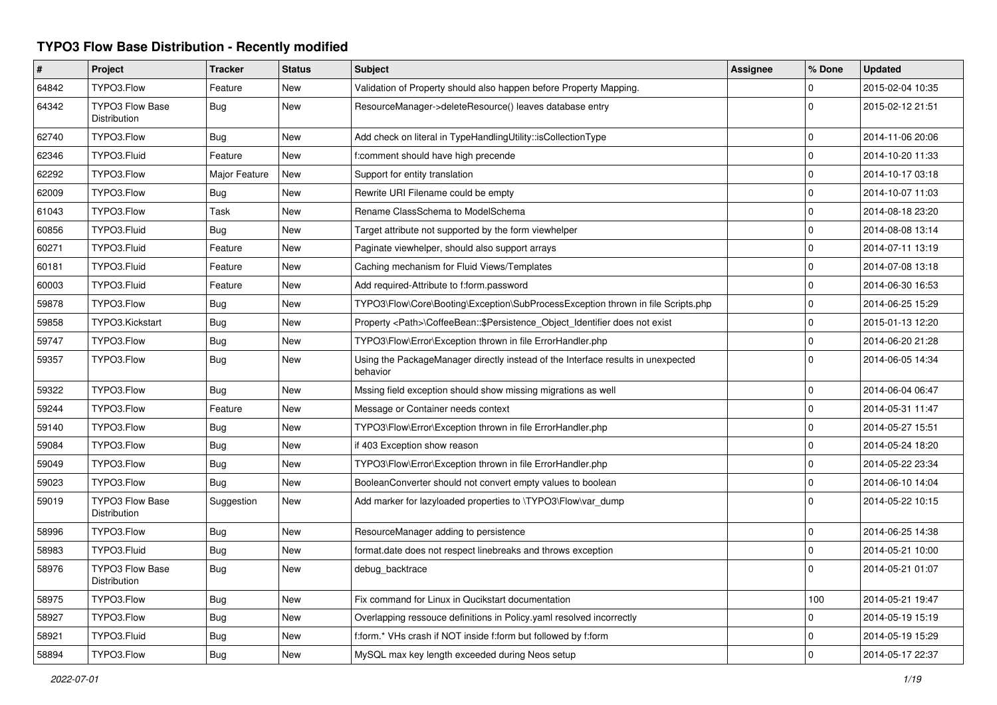## **TYPO3 Flow Base Distribution - Recently modified**

| #     | Project                                | <b>Tracker</b> | <b>Status</b> | <b>Subject</b>                                                                               | <b>Assignee</b> | % Done      | <b>Updated</b>   |
|-------|----------------------------------------|----------------|---------------|----------------------------------------------------------------------------------------------|-----------------|-------------|------------------|
| 64842 | TYPO3.Flow                             | Feature        | <b>New</b>    | Validation of Property should also happen before Property Mapping.                           |                 | $\Omega$    | 2015-02-04 10:35 |
| 64342 | <b>TYPO3 Flow Base</b><br>Distribution | Bug            | New           | ResourceManager->deleteResource() leaves database entry                                      |                 | $\Omega$    | 2015-02-12 21:51 |
| 62740 | TYPO3.Flow                             | Bug            | <b>New</b>    | Add check on literal in TypeHandlingUtility::isCollectionType                                |                 | $\Omega$    | 2014-11-06 20:06 |
| 62346 | TYPO3.Fluid                            | Feature        | <b>New</b>    | f:comment should have high precende                                                          |                 | $\mathbf 0$ | 2014-10-20 11:33 |
| 62292 | TYPO3.Flow                             | Major Feature  | New           | Support for entity translation                                                               |                 | $\mathbf 0$ | 2014-10-17 03:18 |
| 62009 | TYPO3.Flow                             | Bug            | New           | Rewrite URI Filename could be empty                                                          |                 | $\mathbf 0$ | 2014-10-07 11:03 |
| 61043 | TYPO3.Flow                             | Task           | New           | Rename ClassSchema to ModelSchema                                                            |                 | $\mathbf 0$ | 2014-08-18 23:20 |
| 60856 | TYPO3.Fluid                            | Bug            | New           | Target attribute not supported by the form viewhelper                                        |                 | $\mathbf 0$ | 2014-08-08 13:14 |
| 60271 | TYPO3.Fluid                            | Feature        | New           | Paginate viewhelper, should also support arrays                                              |                 | $\mathbf 0$ | 2014-07-11 13:19 |
| 60181 | TYPO3.Fluid                            | Feature        | New           | Caching mechanism for Fluid Views/Templates                                                  |                 | $\Omega$    | 2014-07-08 13:18 |
| 60003 | TYPO3.Fluid                            | Feature        | New           | Add required-Attribute to f:form.password                                                    |                 | $\mathbf 0$ | 2014-06-30 16:53 |
| 59878 | TYPO3.Flow                             | Bug            | New           | TYPO3\Flow\Core\Booting\Exception\SubProcessException thrown in file Scripts.php             |                 | $\mathbf 0$ | 2014-06-25 15:29 |
| 59858 | TYPO3.Kickstart                        | Bug            | New           | Property <path>\CoffeeBean::\$Persistence Object Identifier does not exist</path>            |                 | $\mathbf 0$ | 2015-01-13 12:20 |
| 59747 | TYPO3.Flow                             | Bug            | <b>New</b>    | TYPO3\Flow\Error\Exception thrown in file ErrorHandler.php                                   |                 | $\Omega$    | 2014-06-20 21:28 |
| 59357 | TYPO3.Flow                             | Bug            | New           | Using the PackageManager directly instead of the Interface results in unexpected<br>behavior |                 | $\Omega$    | 2014-06-05 14:34 |
| 59322 | TYPO3.Flow                             | Bug            | New           | Mssing field exception should show missing migrations as well                                |                 | $\mathbf 0$ | 2014-06-04 06:47 |
| 59244 | TYPO3.Flow                             | Feature        | New           | Message or Container needs context                                                           |                 | $\Omega$    | 2014-05-31 11:47 |
| 59140 | TYPO3.Flow                             | Bug            | New           | TYPO3\Flow\Error\Exception thrown in file ErrorHandler.php                                   |                 | $\Omega$    | 2014-05-27 15:51 |
| 59084 | TYPO3.Flow                             | Bug            | <b>New</b>    | if 403 Exception show reason                                                                 |                 | $\Omega$    | 2014-05-24 18:20 |
| 59049 | TYPO3.Flow                             | Bug            | New           | TYPO3\Flow\Error\Exception thrown in file ErrorHandler.php                                   |                 | $\Omega$    | 2014-05-22 23:34 |
| 59023 | TYPO3.Flow                             | <b>Bug</b>     | New           | BooleanConverter should not convert empty values to boolean                                  |                 | $\mathbf 0$ | 2014-06-10 14:04 |
| 59019 | <b>TYPO3 Flow Base</b><br>Distribution | Suggestion     | New           | Add marker for lazyloaded properties to \TYPO3\Flow\var_dump                                 |                 | $\Omega$    | 2014-05-22 10:15 |
| 58996 | TYPO3.Flow                             | <b>Bug</b>     | <b>New</b>    | ResourceManager adding to persistence                                                        |                 | $\Omega$    | 2014-06-25 14:38 |
| 58983 | TYPO3.Fluid                            | <b>Bug</b>     | <b>New</b>    | format.date does not respect linebreaks and throws exception                                 |                 | $\Omega$    | 2014-05-21 10:00 |
| 58976 | TYPO3 Flow Base<br><b>Distribution</b> | <b>Bug</b>     | New           | debug_backtrace                                                                              |                 | $\Omega$    | 2014-05-21 01:07 |
| 58975 | TYPO3.Flow                             | <b>Bug</b>     | <b>New</b>    | Fix command for Linux in Qucikstart documentation                                            |                 | 100         | 2014-05-21 19:47 |
| 58927 | TYPO3.Flow                             | <b>Bug</b>     | <b>New</b>    | Overlapping ressouce definitions in Policy yaml resolved incorrectly                         |                 | $\mathbf 0$ | 2014-05-19 15:19 |
| 58921 | TYPO3.Fluid                            | Bug            | <b>New</b>    | f:form.* VHs crash if NOT inside f:form but followed by f:form                               |                 | $\Omega$    | 2014-05-19 15:29 |
| 58894 | TYPO3.Flow                             | <b>Bug</b>     | <b>New</b>    | MySQL max key length exceeded during Neos setup                                              |                 | $\Omega$    | 2014-05-17 22:37 |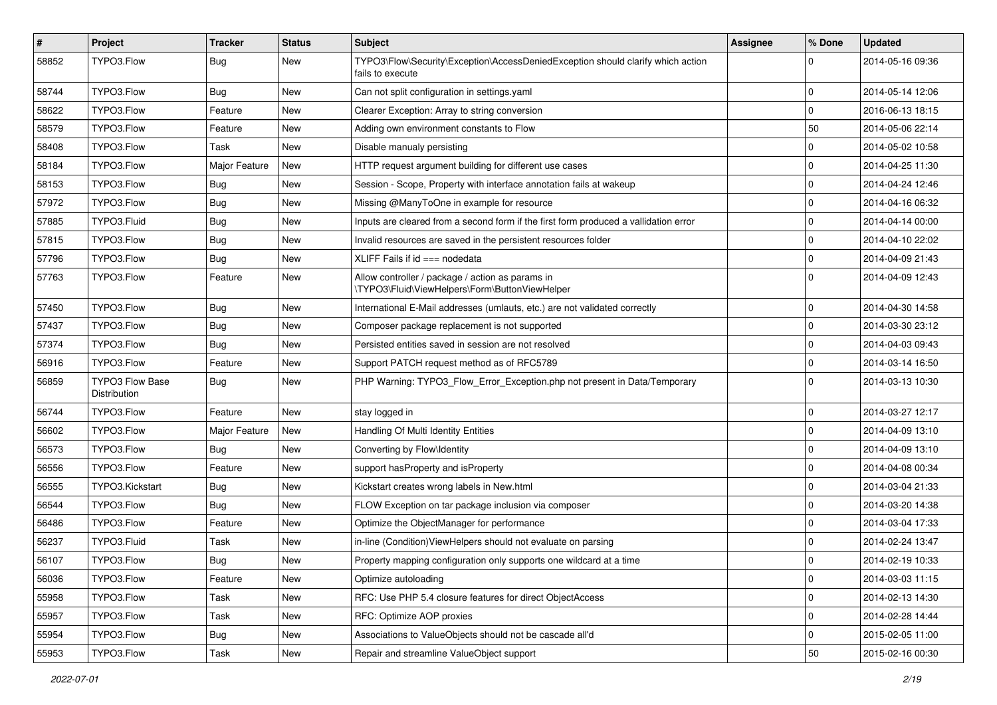| $\pmb{\#}$ | Project                                | <b>Tracker</b> | <b>Status</b> | <b>Subject</b>                                                                                      | <b>Assignee</b> | % Done              | <b>Updated</b>   |
|------------|----------------------------------------|----------------|---------------|-----------------------------------------------------------------------------------------------------|-----------------|---------------------|------------------|
| 58852      | TYPO3.Flow                             | Bug            | New           | TYPO3\Flow\Security\Exception\AccessDeniedException should clarify which action<br>fails to execute |                 | 0                   | 2014-05-16 09:36 |
| 58744      | TYPO3.Flow                             | Bug            | New           | Can not split configuration in settings yaml                                                        |                 | 0                   | 2014-05-14 12:06 |
| 58622      | TYPO3.Flow                             | Feature        | New           | Clearer Exception: Array to string conversion                                                       |                 | 0                   | 2016-06-13 18:15 |
| 58579      | TYPO3.Flow                             | Feature        | New           | Adding own environment constants to Flow                                                            |                 | 50                  | 2014-05-06 22:14 |
| 58408      | TYPO3.Flow                             | Task           | New           | Disable manualy persisting                                                                          |                 | 0                   | 2014-05-02 10:58 |
| 58184      | TYPO3.Flow                             | Major Feature  | New           | HTTP request argument building for different use cases                                              |                 | $\mathbf 0$         | 2014-04-25 11:30 |
| 58153      | TYPO3.Flow                             | Bug            | New           | Session - Scope, Property with interface annotation fails at wakeup                                 |                 | 0                   | 2014-04-24 12:46 |
| 57972      | TYPO3.Flow                             | Bug            | New           | Missing @ManyToOne in example for resource                                                          |                 | 0                   | 2014-04-16 06:32 |
| 57885      | TYPO3.Fluid                            | <b>Bug</b>     | New           | Inputs are cleared from a second form if the first form produced a vallidation error                |                 | 0                   | 2014-04-14 00:00 |
| 57815      | TYPO3.Flow                             | Bug            | New           | Invalid resources are saved in the persistent resources folder                                      |                 | $\pmb{0}$           | 2014-04-10 22:02 |
| 57796      | TYPO3.Flow                             | Bug            | New           | $XLIFF$ Fails if $id ==$ nodedata                                                                   |                 | $\mathbf 0$         | 2014-04-09 21:43 |
| 57763      | TYPO3.Flow                             | Feature        | New           | Allow controller / package / action as params in<br>\TYPO3\Fluid\ViewHelpers\Form\ButtonViewHelper  |                 | $\mathbf 0$         | 2014-04-09 12:43 |
| 57450      | TYPO3.Flow                             | Bug            | New           | International E-Mail addresses (umlauts, etc.) are not validated correctly                          |                 | 0                   | 2014-04-30 14:58 |
| 57437      | TYPO3.Flow                             | Bug            | New           | Composer package replacement is not supported                                                       |                 | 0                   | 2014-03-30 23:12 |
| 57374      | TYPO3.Flow                             | Bug            | New           | Persisted entities saved in session are not resolved                                                |                 | 0                   | 2014-04-03 09:43 |
| 56916      | TYPO3.Flow                             | Feature        | New           | Support PATCH request method as of RFC5789                                                          |                 | 0                   | 2014-03-14 16:50 |
| 56859      | <b>TYPO3 Flow Base</b><br>Distribution | Bug            | New           | PHP Warning: TYPO3_Flow_Error_Exception.php not present in Data/Temporary                           |                 | 0                   | 2014-03-13 10:30 |
| 56744      | TYPO3.Flow                             | Feature        | <b>New</b>    | stay logged in                                                                                      |                 | 0                   | 2014-03-27 12:17 |
| 56602      | TYPO3.Flow                             | Major Feature  | New           | Handling Of Multi Identity Entities                                                                 |                 | 0                   | 2014-04-09 13:10 |
| 56573      | TYPO3.Flow                             | Bug            | New           | Converting by Flow\Identity                                                                         |                 | 0                   | 2014-04-09 13:10 |
| 56556      | TYPO3.Flow                             | Feature        | New           | support has Property and is Property                                                                |                 | $\mathbf 0$         | 2014-04-08 00:34 |
| 56555      | TYPO3.Kickstart                        | <b>Bug</b>     | New           | Kickstart creates wrong labels in New.html                                                          |                 | 0                   | 2014-03-04 21:33 |
| 56544      | TYPO3.Flow                             | Bug            | New           | FLOW Exception on tar package inclusion via composer                                                |                 | 0                   | 2014-03-20 14:38 |
| 56486      | TYPO3.Flow                             | Feature        | New           | Optimize the ObjectManager for performance                                                          |                 | 0                   | 2014-03-04 17:33 |
| 56237      | TYPO3.Fluid                            | Task           | New           | in-line (Condition) View Helpers should not evaluate on parsing                                     |                 | 0                   | 2014-02-24 13:47 |
| 56107      | TYPO3.Flow                             | Bug            | New           | Property mapping configuration only supports one wildcard at a time                                 |                 | 0                   | 2014-02-19 10:33 |
| 56036      | TYPO3.Flow                             | Feature        | New           | Optimize autoloading                                                                                |                 | 0                   | 2014-03-03 11:15 |
| 55958      | TYPO3.Flow                             | Task           | New           | RFC: Use PHP 5.4 closure features for direct ObjectAccess                                           |                 | $\mathbf 0$         | 2014-02-13 14:30 |
| 55957      | TYPO3.Flow                             | Task           | New           | RFC: Optimize AOP proxies                                                                           |                 | $\mathsf{O}\xspace$ | 2014-02-28 14:44 |
| 55954      | TYPO3.Flow                             | Bug            | New           | Associations to ValueObjects should not be cascade all'd                                            |                 | $\mathbf 0$         | 2015-02-05 11:00 |
| 55953      | TYPO3.Flow                             | Task           | New           | Repair and streamline ValueObject support                                                           |                 | 50                  | 2015-02-16 00:30 |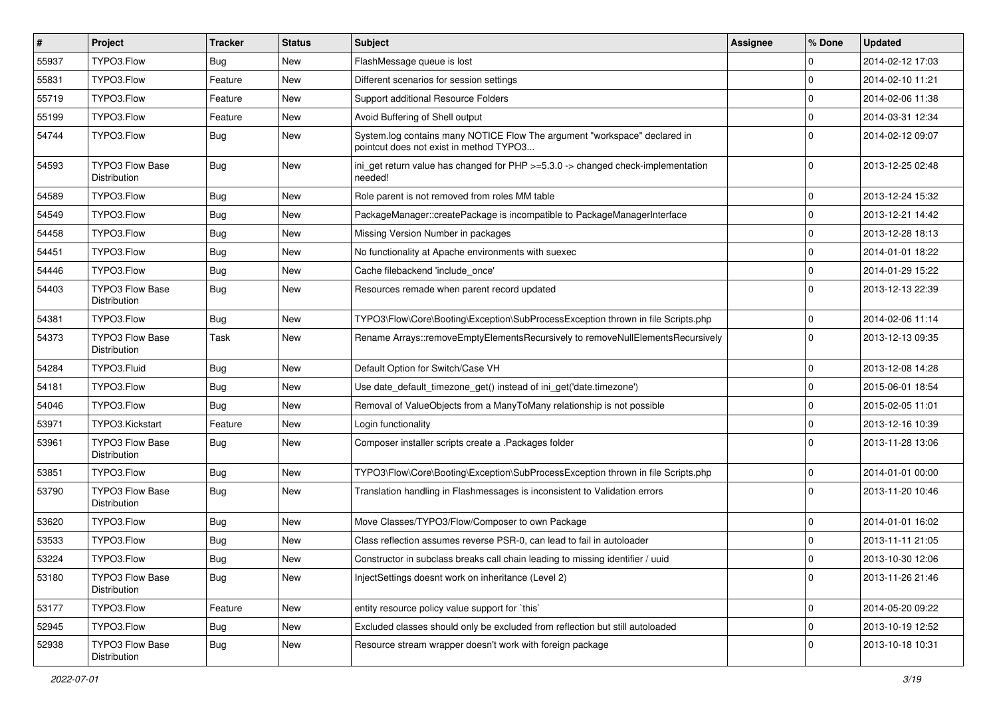| $\vert$ # | Project                                | <b>Tracker</b> | <b>Status</b> | Subject                                                                                                              | <b>Assignee</b> | % Done      | <b>Updated</b>   |
|-----------|----------------------------------------|----------------|---------------|----------------------------------------------------------------------------------------------------------------------|-----------------|-------------|------------------|
| 55937     | TYPO3.Flow                             | Bug            | New           | FlashMessage queue is lost                                                                                           |                 | $\Omega$    | 2014-02-12 17:03 |
| 55831     | TYPO3.Flow                             | Feature        | <b>New</b>    | Different scenarios for session settings                                                                             |                 | $\Omega$    | 2014-02-10 11:21 |
| 55719     | TYPO3.Flow                             | Feature        | New           | Support additional Resource Folders                                                                                  |                 | $\Omega$    | 2014-02-06 11:38 |
| 55199     | TYPO3.Flow                             | Feature        | New           | Avoid Buffering of Shell output                                                                                      |                 | $\Omega$    | 2014-03-31 12:34 |
| 54744     | TYPO3.Flow                             | Bug            | New           | System.log contains many NOTICE Flow The argument "workspace" declared in<br>pointcut does not exist in method TYPO3 |                 | $\Omega$    | 2014-02-12 09:07 |
| 54593     | <b>TYPO3 Flow Base</b><br>Distribution | Bug            | <b>New</b>    | ini_get return value has changed for PHP >=5.3.0 -> changed check-implementation<br>needed!                          |                 | $\Omega$    | 2013-12-25 02:48 |
| 54589     | TYPO3.Flow                             | Bug            | <b>New</b>    | Role parent is not removed from roles MM table                                                                       |                 | $\Omega$    | 2013-12-24 15:32 |
| 54549     | TYPO3.Flow                             | <b>Bug</b>     | New           | PackageManager::createPackage is incompatible to PackageManagerInterface                                             |                 | $\Omega$    | 2013-12-21 14:42 |
| 54458     | TYPO3.Flow                             | Bug            | New           | Missing Version Number in packages                                                                                   |                 | $\mathbf 0$ | 2013-12-28 18:13 |
| 54451     | TYPO3.Flow                             | <b>Bug</b>     | New           | No functionality at Apache environments with suexec                                                                  |                 | $\Omega$    | 2014-01-01 18:22 |
| 54446     | TYPO3.Flow                             | Bug            | New           | Cache filebackend 'include once'                                                                                     |                 | $\Omega$    | 2014-01-29 15:22 |
| 54403     | <b>TYPO3 Flow Base</b><br>Distribution | Bug            | New           | Resources remade when parent record updated                                                                          |                 | $\Omega$    | 2013-12-13 22:39 |
| 54381     | TYPO3.Flow                             | Bug            | New           | TYPO3\Flow\Core\Booting\Exception\SubProcessException thrown in file Scripts.php                                     |                 | $\mathbf 0$ | 2014-02-06 11:14 |
| 54373     | <b>TYPO3 Flow Base</b><br>Distribution | Task           | New           | Rename Arrays::removeEmptyElementsRecursively to removeNullElementsRecursively                                       |                 | $\Omega$    | 2013-12-13 09:35 |
| 54284     | TYPO3.Fluid                            | Bug            | New           | Default Option for Switch/Case VH                                                                                    |                 | $\Omega$    | 2013-12-08 14:28 |
| 54181     | TYPO3.Flow                             | <b>Bug</b>     | New           | Use date_default_timezone_get() instead of ini_get('date.timezone')                                                  |                 | $\Omega$    | 2015-06-01 18:54 |
| 54046     | TYPO3.Flow                             | Bug            | New           | Removal of ValueObjects from a ManyToMany relationship is not possible                                               |                 | $\mathbf 0$ | 2015-02-05 11:01 |
| 53971     | TYPO3.Kickstart                        | Feature        | New           | Login functionality                                                                                                  |                 | $\Omega$    | 2013-12-16 10:39 |
| 53961     | <b>TYPO3 Flow Base</b><br>Distribution | <b>Bug</b>     | New           | Composer installer scripts create a .Packages folder                                                                 |                 | 0           | 2013-11-28 13:06 |
| 53851     | TYPO3.Flow                             | Bug            | <b>New</b>    | TYPO3\Flow\Core\Booting\Exception\SubProcessException thrown in file Scripts.php                                     |                 | $\Omega$    | 2014-01-01 00:00 |
| 53790     | TYPO3 Flow Base<br><b>Distribution</b> | Bug            | <b>New</b>    | Translation handling in Flashmessages is inconsistent to Validation errors                                           |                 | $\Omega$    | 2013-11-20 10:46 |
| 53620     | TYPO3.Flow                             | <b>Bug</b>     | <b>New</b>    | Move Classes/TYPO3/Flow/Composer to own Package                                                                      |                 | $\Omega$    | 2014-01-01 16:02 |
| 53533     | TYPO3.Flow                             | Bug            | <b>New</b>    | Class reflection assumes reverse PSR-0, can lead to fail in autoloader                                               |                 | $\Omega$    | 2013-11-11 21:05 |
| 53224     | TYPO3.Flow                             | Bug            | <b>New</b>    | Constructor in subclass breaks call chain leading to missing identifier / uuid                                       |                 | $\Omega$    | 2013-10-30 12:06 |
| 53180     | TYPO3 Flow Base<br>Distribution        | <b>Bug</b>     | New           | InjectSettings doesnt work on inheritance (Level 2)                                                                  |                 | $\Omega$    | 2013-11-26 21:46 |
| 53177     | TYPO3.Flow                             | Feature        | New           | entity resource policy value support for `this`                                                                      |                 | $\mathbf 0$ | 2014-05-20 09:22 |
| 52945     | TYPO3.Flow                             | <b>Bug</b>     | New           | Excluded classes should only be excluded from reflection but still autoloaded                                        |                 | $\mathbf 0$ | 2013-10-19 12:52 |
| 52938     | TYPO3 Flow Base<br>Distribution        | <b>Bug</b>     | New           | Resource stream wrapper doesn't work with foreign package                                                            |                 | $\mathbf 0$ | 2013-10-18 10:31 |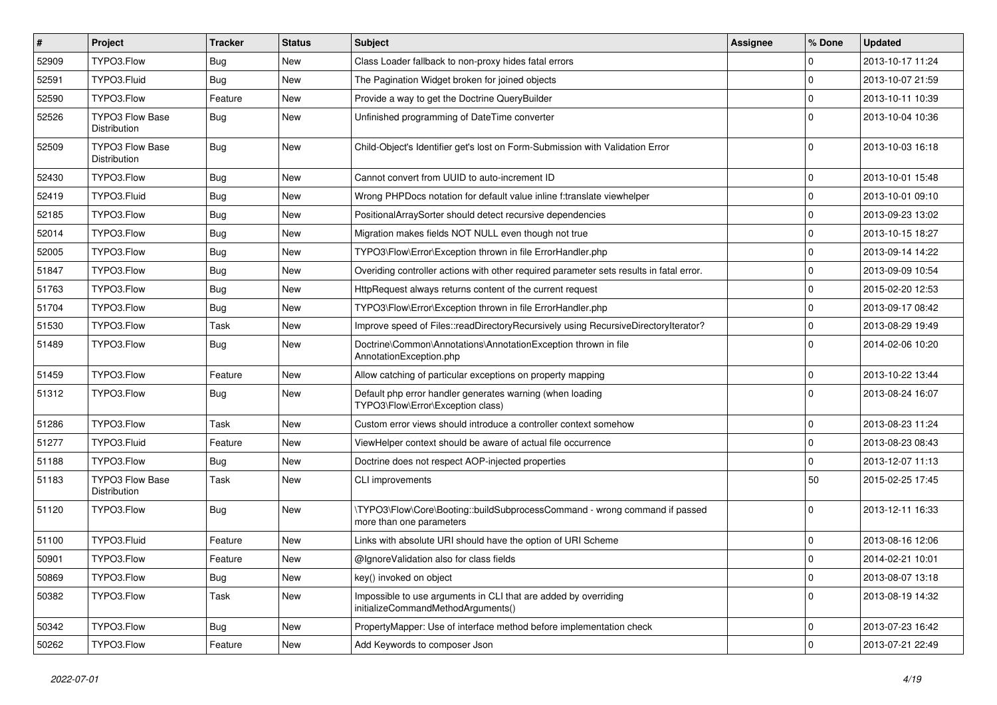| $\vert$ # | Project                                | <b>Tracker</b> | <b>Status</b> | <b>Subject</b>                                                                                         | <b>Assignee</b> | % Done              | <b>Updated</b>   |
|-----------|----------------------------------------|----------------|---------------|--------------------------------------------------------------------------------------------------------|-----------------|---------------------|------------------|
| 52909     | TYPO3.Flow                             | Bug            | New           | Class Loader fallback to non-proxy hides fatal errors                                                  |                 | 0                   | 2013-10-17 11:24 |
| 52591     | TYPO3.Fluid                            | Bug            | New           | The Pagination Widget broken for joined objects                                                        |                 | 0                   | 2013-10-07 21:59 |
| 52590     | TYPO3.Flow                             | Feature        | New           | Provide a way to get the Doctrine QueryBuilder                                                         |                 | 0                   | 2013-10-11 10:39 |
| 52526     | <b>TYPO3 Flow Base</b><br>Distribution | Bug            | New           | Unfinished programming of DateTime converter                                                           |                 | $\Omega$            | 2013-10-04 10:36 |
| 52509     | <b>TYPO3 Flow Base</b><br>Distribution | Bug            | New           | Child-Object's Identifier get's lost on Form-Submission with Validation Error                          |                 | 0                   | 2013-10-03 16:18 |
| 52430     | TYPO3.Flow                             | Bug            | New           | Cannot convert from UUID to auto-increment ID                                                          |                 | 0                   | 2013-10-01 15:48 |
| 52419     | TYPO3.Fluid                            | Bug            | New           | Wrong PHPDocs notation for default value inline f:translate viewhelper                                 |                 | 0                   | 2013-10-01 09:10 |
| 52185     | TYPO3.Flow                             | Bug            | New           | PositionalArraySorter should detect recursive dependencies                                             |                 | 0                   | 2013-09-23 13:02 |
| 52014     | TYPO3.Flow                             | Bug            | New           | Migration makes fields NOT NULL even though not true                                                   |                 | 0                   | 2013-10-15 18:27 |
| 52005     | TYPO3.Flow                             | Bug            | New           | TYPO3\Flow\Error\Exception thrown in file ErrorHandler.php                                             |                 | $\mathbf 0$         | 2013-09-14 14:22 |
| 51847     | TYPO3.Flow                             | Bug            | New           | Overiding controller actions with other required parameter sets results in fatal error.                |                 | 0                   | 2013-09-09 10:54 |
| 51763     | TYPO3.Flow                             | Bug            | New           | HttpRequest always returns content of the current request                                              |                 | 0                   | 2015-02-20 12:53 |
| 51704     | TYPO3.Flow                             | Bug            | <b>New</b>    | TYPO3\Flow\Error\Exception thrown in file ErrorHandler.php                                             |                 | $\mathbf 0$         | 2013-09-17 08:42 |
| 51530     | TYPO3.Flow                             | Task           | New           | Improve speed of Files::readDirectoryRecursively using RecursiveDirectoryIterator?                     |                 | $\mathbf 0$         | 2013-08-29 19:49 |
| 51489     | TYPO3.Flow                             | Bug            | New           | Doctrine\Common\Annotations\AnnotationException thrown in file<br>AnnotationException.php              |                 | 0                   | 2014-02-06 10:20 |
| 51459     | TYPO3.Flow                             | Feature        | <b>New</b>    | Allow catching of particular exceptions on property mapping                                            |                 | 0                   | 2013-10-22 13:44 |
| 51312     | TYPO3.Flow                             | <b>Bug</b>     | New           | Default php error handler generates warning (when loading<br>TYPO3\Flow\Error\Exception class)         |                 | $\Omega$            | 2013-08-24 16:07 |
| 51286     | TYPO3.Flow                             | Task           | New           | Custom error views should introduce a controller context somehow                                       |                 | 0                   | 2013-08-23 11:24 |
| 51277     | TYPO3.Fluid                            | Feature        | New           | ViewHelper context should be aware of actual file occurrence                                           |                 | $\mathbf 0$         | 2013-08-23 08:43 |
| 51188     | TYPO3.Flow                             | Bug            | New           | Doctrine does not respect AOP-injected properties                                                      |                 | 0                   | 2013-12-07 11:13 |
| 51183     | <b>TYPO3 Flow Base</b><br>Distribution | Task           | New           | CLI improvements                                                                                       |                 | 50                  | 2015-02-25 17:45 |
| 51120     | TYPO3.Flow                             | Bug            | New           | \TYPO3\Flow\Core\Booting::buildSubprocessCommand - wrong command if passed<br>more than one parameters |                 | $\Omega$            | 2013-12-11 16:33 |
| 51100     | TYPO3.Fluid                            | Feature        | New           | Links with absolute URI should have the option of URI Scheme                                           |                 | 0                   | 2013-08-16 12:06 |
| 50901     | TYPO3.Flow                             | Feature        | New           | @IgnoreValidation also for class fields                                                                |                 | $\Omega$            | 2014-02-21 10:01 |
| 50869     | TYPO3.Flow                             | <b>Bug</b>     | New           | key() invoked on object                                                                                |                 | $\mathsf{O}\xspace$ | 2013-08-07 13:18 |
| 50382     | TYPO3.Flow                             | Task           | New           | Impossible to use arguments in CLI that are added by overriding<br>initializeCommandMethodArguments()  |                 | $\mathbf 0$         | 2013-08-19 14:32 |
| 50342     | TYPO3.Flow                             | <b>Bug</b>     | New           | PropertyMapper: Use of interface method before implementation check                                    |                 | 0                   | 2013-07-23 16:42 |
| 50262     | TYPO3.Flow                             | Feature        | New           | Add Keywords to composer Json                                                                          |                 | $\pmb{0}$           | 2013-07-21 22:49 |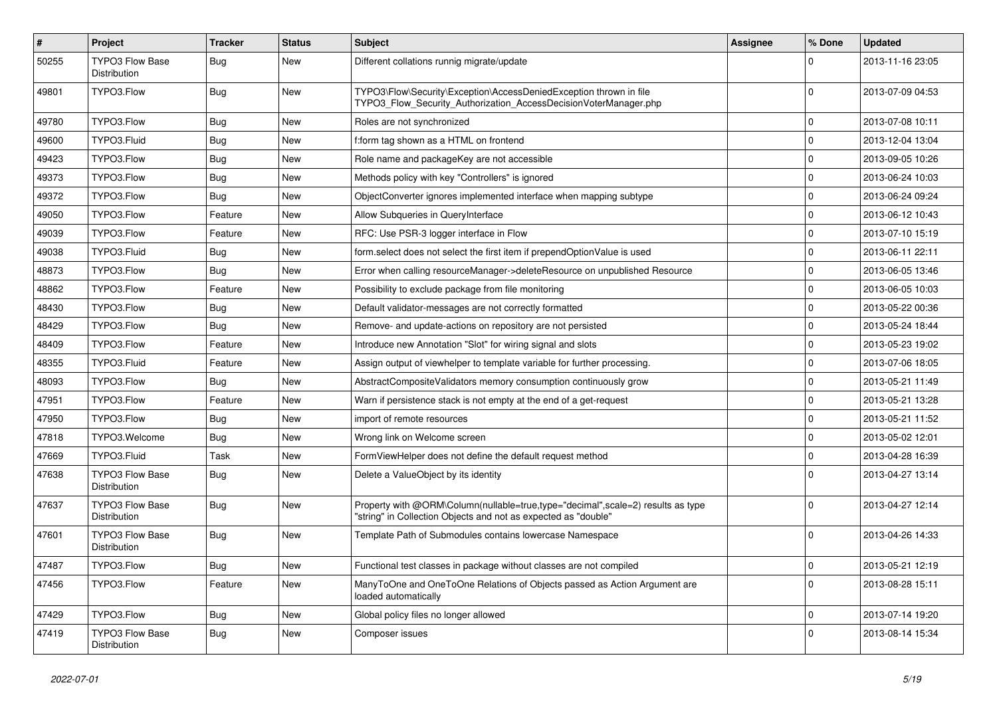| $\sharp$ | Project                                | <b>Tracker</b> | <b>Status</b> | <b>Subject</b>                                                                                                                                    | <b>Assignee</b> | % Done         | <b>Updated</b>   |
|----------|----------------------------------------|----------------|---------------|---------------------------------------------------------------------------------------------------------------------------------------------------|-----------------|----------------|------------------|
| 50255    | <b>TYPO3 Flow Base</b><br>Distribution | Bug            | <b>New</b>    | Different collations runnig migrate/update                                                                                                        |                 | $\Omega$       | 2013-11-16 23:05 |
| 49801    | TYPO3.Flow                             | Bug            | <b>New</b>    | TYPO3\Flow\Security\Exception\AccessDeniedException thrown in file<br>TYPO3_Flow_Security_Authorization_AccessDecisionVoterManager.php            |                 | $\Omega$       | 2013-07-09 04:53 |
| 49780    | TYPO3.Flow                             | <b>Bug</b>     | New           | Roles are not synchronized                                                                                                                        |                 | $\mathbf 0$    | 2013-07-08 10:11 |
| 49600    | TYPO3.Fluid                            | Bug            | New           | f:form tag shown as a HTML on frontend                                                                                                            |                 | $\mathbf 0$    | 2013-12-04 13:04 |
| 49423    | TYPO3.Flow                             | Bug            | New           | Role name and packageKey are not accessible                                                                                                       |                 | $\mathbf 0$    | 2013-09-05 10:26 |
| 49373    | TYPO3.Flow                             | Bug            | New           | Methods policy with key "Controllers" is ignored                                                                                                  |                 | 0              | 2013-06-24 10:03 |
| 49372    | TYPO3.Flow                             | Bug            | <b>New</b>    | ObjectConverter ignores implemented interface when mapping subtype                                                                                |                 | $\mathbf 0$    | 2013-06-24 09:24 |
| 49050    | TYPO3.Flow                             | Feature        | New           | Allow Subqueries in QueryInterface                                                                                                                |                 | 0              | 2013-06-12 10:43 |
| 49039    | TYPO3.Flow                             | Feature        | New           | RFC: Use PSR-3 logger interface in Flow                                                                                                           |                 | $\mathbf 0$    | 2013-07-10 15:19 |
| 49038    | TYPO3.Fluid                            | Bug            | New           | form.select does not select the first item if prependOptionValue is used                                                                          |                 | $\Omega$       | 2013-06-11 22:11 |
| 48873    | TYPO3.Flow                             | Bug            | New           | Error when calling resourceManager->deleteResource on unpublished Resource                                                                        |                 | $\Omega$       | 2013-06-05 13:46 |
| 48862    | TYPO3.Flow                             | Feature        | New           | Possibility to exclude package from file monitoring                                                                                               |                 | $\Omega$       | 2013-06-05 10:03 |
| 48430    | TYPO3.Flow                             | Bug            | New           | Default validator-messages are not correctly formatted                                                                                            |                 | $\Omega$       | 2013-05-22 00:36 |
| 48429    | TYPO3.Flow                             | <b>Bug</b>     | New           | Remove- and update-actions on repository are not persisted                                                                                        |                 | $\Omega$       | 2013-05-24 18:44 |
| 48409    | TYPO3.Flow                             | Feature        | New           | Introduce new Annotation "Slot" for wiring signal and slots                                                                                       |                 | $\Omega$       | 2013-05-23 19:02 |
| 48355    | TYPO3.Fluid                            | Feature        | <b>New</b>    | Assign output of viewhelper to template variable for further processing.                                                                          |                 | $\Omega$       | 2013-07-06 18:05 |
| 48093    | TYPO3.Flow                             | Bug            | New           | AbstractCompositeValidators memory consumption continuously grow                                                                                  |                 | $\mathbf 0$    | 2013-05-21 11:49 |
| 47951    | TYPO3.Flow                             | Feature        | <b>New</b>    | Warn if persistence stack is not empty at the end of a get-request                                                                                |                 | $\Omega$       | 2013-05-21 13:28 |
| 47950    | TYPO3.Flow                             | Bug            | <b>New</b>    | import of remote resources                                                                                                                        |                 | $\Omega$       | 2013-05-21 11:52 |
| 47818    | TYPO3.Welcome                          | Bug            | <b>New</b>    | Wrong link on Welcome screen                                                                                                                      |                 | $\mathbf 0$    | 2013-05-02 12:01 |
| 47669    | TYPO3.Fluid                            | Task           | <b>New</b>    | FormViewHelper does not define the default request method                                                                                         |                 | $\mathbf 0$    | 2013-04-28 16:39 |
| 47638    | <b>TYPO3 Flow Base</b><br>Distribution | Bug            | <b>New</b>    | Delete a ValueObject by its identity                                                                                                              |                 | $\overline{0}$ | 2013-04-27 13:14 |
| 47637    | <b>TYPO3 Flow Base</b><br>Distribution | Bug            | New           | Property with @ORM\Column(nullable=true,type="decimal",scale=2) results as type<br>"string" in Collection Objects and not as expected as "double" |                 | $\Omega$       | 2013-04-27 12:14 |
| 47601    | <b>TYPO3 Flow Base</b><br>Distribution | <b>Bug</b>     | New           | Template Path of Submodules contains lowercase Namespace                                                                                          |                 | $\Omega$       | 2013-04-26 14:33 |
| 47487    | TYPO3.Flow                             | <b>Bug</b>     | New           | Functional test classes in package without classes are not compiled                                                                               |                 | $\pmb{0}$      | 2013-05-21 12:19 |
| 47456    | TYPO3.Flow                             | Feature        | New           | ManyToOne and OneToOne Relations of Objects passed as Action Argument are<br>loaded automatically                                                 |                 | $\Omega$       | 2013-08-28 15:11 |
| 47429    | TYPO3.Flow                             | Bug            | New           | Global policy files no longer allowed                                                                                                             |                 | $\mathbf 0$    | 2013-07-14 19:20 |
| 47419    | <b>TYPO3 Flow Base</b><br>Distribution | <b>Bug</b>     | <b>New</b>    | Composer issues                                                                                                                                   |                 | $\Omega$       | 2013-08-14 15:34 |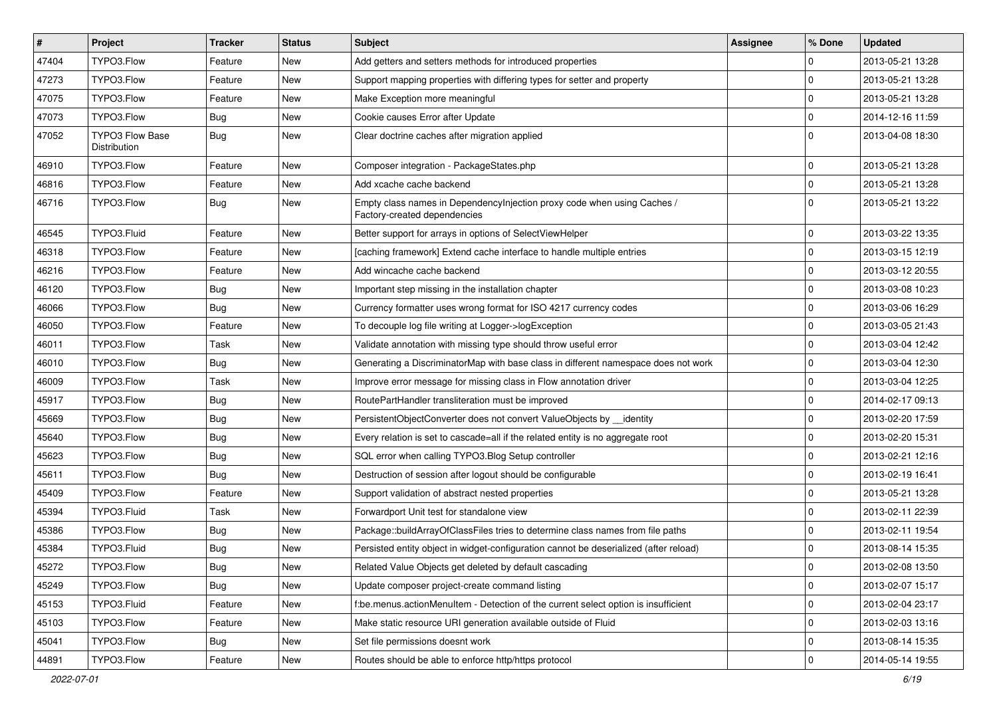| $\vert$ # | Project                                | <b>Tracker</b> | <b>Status</b> | <b>Subject</b>                                                                                          | Assignee | ∣% Done        | <b>Updated</b>   |
|-----------|----------------------------------------|----------------|---------------|---------------------------------------------------------------------------------------------------------|----------|----------------|------------------|
| 47404     | TYPO3.Flow                             | Feature        | New           | Add getters and setters methods for introduced properties                                               |          | $\mathbf 0$    | 2013-05-21 13:28 |
| 47273     | TYPO3.Flow                             | Feature        | <b>New</b>    | Support mapping properties with differing types for setter and property                                 |          | $\Omega$       | 2013-05-21 13:28 |
| 47075     | TYPO3.Flow                             | Feature        | New           | Make Exception more meaningful                                                                          |          | l 0            | 2013-05-21 13:28 |
| 47073     | TYPO3.Flow                             | Bug            | New           | Cookie causes Error after Update                                                                        |          | 0              | 2014-12-16 11:59 |
| 47052     | <b>TYPO3 Flow Base</b><br>Distribution | Bug            | New           | Clear doctrine caches after migration applied                                                           |          | $\Omega$       | 2013-04-08 18:30 |
| 46910     | TYPO3.Flow                             | Feature        | New           | Composer integration - PackageStates.php                                                                |          | $\Omega$       | 2013-05-21 13:28 |
| 46816     | TYPO3.Flow                             | Feature        | New           | Add xcache cache backend                                                                                |          | l 0            | 2013-05-21 13:28 |
| 46716     | TYPO3.Flow                             | Bug            | New           | Empty class names in DependencyInjection proxy code when using Caches /<br>Factory-created dependencies |          | $\Omega$       | 2013-05-21 13:22 |
| 46545     | TYPO3.Fluid                            | Feature        | New           | Better support for arrays in options of SelectViewHelper                                                |          | 0              | 2013-03-22 13:35 |
| 46318     | TYPO3.Flow                             | Feature        | New           | [caching framework] Extend cache interface to handle multiple entries                                   |          | 0              | 2013-03-15 12:19 |
| 46216     | TYPO3.Flow                             | Feature        | New           | Add wincache cache backend                                                                              |          | $\mathbf{0}$   | 2013-03-12 20:55 |
| 46120     | TYPO3.Flow                             | Bug            | New           | Important step missing in the installation chapter                                                      |          | $\mathbf 0$    | 2013-03-08 10:23 |
| 46066     | TYPO3.Flow                             | Bug            | New           | Currency formatter uses wrong format for ISO 4217 currency codes                                        |          | $\Omega$       | 2013-03-06 16:29 |
| 46050     | TYPO3.Flow                             | Feature        | New           | To decouple log file writing at Logger->logException                                                    |          | 0              | 2013-03-05 21:43 |
| 46011     | TYPO3.Flow                             | Task           | New           | Validate annotation with missing type should throw useful error                                         |          | $\Omega$       | 2013-03-04 12:42 |
| 46010     | TYPO3.Flow                             | Bug            | New           | Generating a DiscriminatorMap with base class in different namespace does not work                      |          | $\mathbf 0$    | 2013-03-04 12:30 |
| 46009     | TYPO3.Flow                             | Task           | New           | Improve error message for missing class in Flow annotation driver                                       |          | 0              | 2013-03-04 12:25 |
| 45917     | TYPO3.Flow                             | Bug            | New           | RoutePartHandler transliteration must be improved                                                       |          | l 0            | 2014-02-17 09:13 |
| 45669     | TYPO3.Flow                             | Bug            | <b>New</b>    | PersistentObjectConverter does not convert ValueObjects by __ identity                                  |          | $\mathbf 0$    | 2013-02-20 17:59 |
| 45640     | TYPO3.Flow                             | Bug            | New           | Every relation is set to cascade=all if the related entity is no aggregate root                         |          | $\mathbf 0$    | 2013-02-20 15:31 |
| 45623     | TYPO3.Flow                             | Bug            | New           | SQL error when calling TYPO3.Blog Setup controller                                                      |          | $\Omega$       | 2013-02-21 12:16 |
| 45611     | TYPO3.Flow                             | Bug            | New           | Destruction of session after logout should be configurable                                              |          | $\mathbf 0$    | 2013-02-19 16:41 |
| 45409     | TYPO3.Flow                             | Feature        | New           | Support validation of abstract nested properties                                                        |          | $\Omega$       | 2013-05-21 13:28 |
| 45394     | TYPO3.Fluid                            | Task           | <b>New</b>    | Forwardport Unit test for standalone view                                                               |          | $\mathbf{0}$   | 2013-02-11 22:39 |
| 45386     | TYPO3.Flow                             | Bug            | New           | Package::buildArrayOfClassFiles tries to determine class names from file paths                          |          | $\overline{0}$ | 2013-02-11 19:54 |
| 45384     | TYPO3.Fluid                            | <b>Bug</b>     | New           | Persisted entity object in widget-configuration cannot be deserialized (after reload)                   |          | $\Omega$       | 2013-08-14 15:35 |
| 45272     | TYPO3.Flow                             | <b>Bug</b>     | New           | Related Value Objects get deleted by default cascading                                                  |          | 0              | 2013-02-08 13:50 |
| 45249     | TYPO3.Flow                             | <b>Bug</b>     | New           | Update composer project-create command listing                                                          |          | 0              | 2013-02-07 15:17 |
| 45153     | TYPO3.Fluid                            | Feature        | New           | f:be.menus.actionMenuItem - Detection of the current select option is insufficient                      |          | 0              | 2013-02-04 23:17 |
| 45103     | TYPO3.Flow                             | Feature        | New           | Make static resource URI generation available outside of Fluid                                          |          | 0              | 2013-02-03 13:16 |
| 45041     | TYPO3.Flow                             | <b>Bug</b>     | New           | Set file permissions doesnt work                                                                        |          | 0              | 2013-08-14 15:35 |
| 44891     | TYPO3.Flow                             | Feature        | New           | Routes should be able to enforce http/https protocol                                                    |          | 0              | 2014-05-14 19:55 |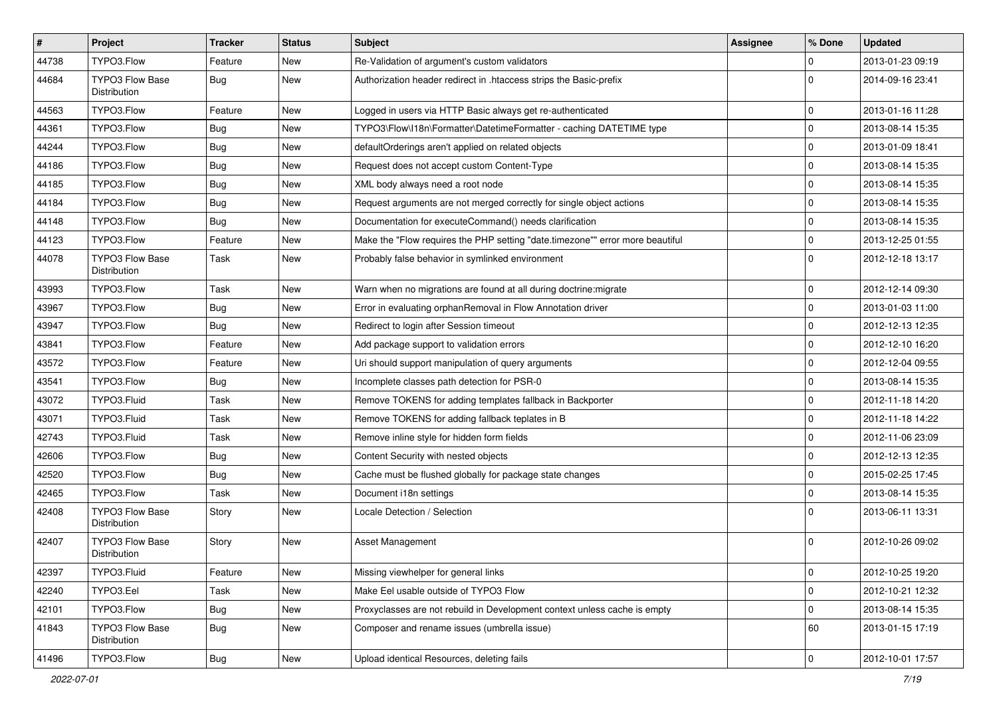| $\vert$ # | Project                                | <b>Tracker</b> | <b>Status</b> | Subject                                                                       | <b>Assignee</b> | % Done              | <b>Updated</b>   |
|-----------|----------------------------------------|----------------|---------------|-------------------------------------------------------------------------------|-----------------|---------------------|------------------|
| 44738     | TYPO3.Flow                             | Feature        | New           | Re-Validation of argument's custom validators                                 |                 | $\mathbf 0$         | 2013-01-23 09:19 |
| 44684     | TYPO3 Flow Base<br><b>Distribution</b> | <b>Bug</b>     | New           | Authorization header redirect in .htaccess strips the Basic-prefix            |                 | $\Omega$            | 2014-09-16 23:41 |
| 44563     | TYPO3.Flow                             | Feature        | <b>New</b>    | Logged in users via HTTP Basic always get re-authenticated                    |                 | $\mathbf 0$         | 2013-01-16 11:28 |
| 44361     | TYPO3.Flow                             | Bug            | <b>New</b>    | TYPO3\Flow\I18n\Formatter\DatetimeFormatter - caching DATETIME type           |                 | $\mathbf 0$         | 2013-08-14 15:35 |
| 44244     | TYPO3.Flow                             | <b>Bug</b>     | New           | defaultOrderings aren't applied on related objects                            |                 | $\mathbf 0$         | 2013-01-09 18:41 |
| 44186     | TYPO3.Flow                             | <b>Bug</b>     | New           | Request does not accept custom Content-Type                                   |                 | $\mathbf 0$         | 2013-08-14 15:35 |
| 44185     | TYPO3.Flow                             | Bug            | New           | XML body always need a root node                                              |                 | $\mathbf 0$         | 2013-08-14 15:35 |
| 44184     | TYPO3.Flow                             | <b>Bug</b>     | New           | Request arguments are not merged correctly for single object actions          |                 | $\mathbf 0$         | 2013-08-14 15:35 |
| 44148     | TYPO3.Flow                             | Bug            | <b>New</b>    | Documentation for executeCommand() needs clarification                        |                 | 0                   | 2013-08-14 15:35 |
| 44123     | TYPO3.Flow                             | Feature        | New           | Make the "Flow requires the PHP setting "date.timezone"" error more beautiful |                 | $\pmb{0}$           | 2013-12-25 01:55 |
| 44078     | TYPO3 Flow Base<br>Distribution        | Task           | New           | Probably false behavior in symlinked environment                              |                 | $\Omega$            | 2012-12-18 13:17 |
| 43993     | TYPO3.Flow                             | Task           | New           | Warn when no migrations are found at all during doctrine: migrate             |                 | 0                   | 2012-12-14 09:30 |
| 43967     | TYPO3.Flow                             | <b>Bug</b>     | <b>New</b>    | Error in evaluating orphanRemoval in Flow Annotation driver                   |                 | $\mathbf 0$         | 2013-01-03 11:00 |
| 43947     | TYPO3.Flow                             | Bug            | New           | Redirect to login after Session timeout                                       |                 | $\mathbf 0$         | 2012-12-13 12:35 |
| 43841     | TYPO3.Flow                             | Feature        | New           | Add package support to validation errors                                      |                 | $\mathbf 0$         | 2012-12-10 16:20 |
| 43572     | TYPO3.Flow                             | Feature        | New           | Uri should support manipulation of query arguments                            |                 | $\mathbf 0$         | 2012-12-04 09:55 |
| 43541     | TYPO3.Flow                             | <b>Bug</b>     | New           | Incomplete classes path detection for PSR-0                                   |                 | $\pmb{0}$           | 2013-08-14 15:35 |
| 43072     | TYPO3.Fluid                            | Task           | New           | Remove TOKENS for adding templates fallback in Backporter                     |                 | $\mathbf 0$         | 2012-11-18 14:20 |
| 43071     | TYPO3.Fluid                            | Task           | New           | Remove TOKENS for adding fallback teplates in B                               |                 | $\mathbf 0$         | 2012-11-18 14:22 |
| 42743     | TYPO3.Fluid                            | Task           | <b>New</b>    | Remove inline style for hidden form fields                                    |                 | $\mathbf 0$         | 2012-11-06 23:09 |
| 42606     | TYPO3.Flow                             | <b>Bug</b>     | <b>New</b>    | Content Security with nested objects                                          |                 | $\mathbf 0$         | 2012-12-13 12:35 |
| 42520     | TYPO3.Flow                             | <b>Bug</b>     | New           | Cache must be flushed globally for package state changes                      |                 | $\mathbf 0$         | 2015-02-25 17:45 |
| 42465     | TYPO3.Flow                             | Task           | New           | Document i18n settings                                                        |                 | $\pmb{0}$           | 2013-08-14 15:35 |
| 42408     | TYPO3 Flow Base<br>Distribution        | Story          | New           | Locale Detection / Selection                                                  |                 | $\Omega$            | 2013-06-11 13:31 |
| 42407     | TYPO3 Flow Base<br>Distribution        | Story          | New           | Asset Management                                                              |                 | $\Omega$            | 2012-10-26 09:02 |
| 42397     | TYPO3.Fluid                            | Feature        | New           | Missing viewhelper for general links                                          |                 | $\pmb{0}$           | 2012-10-25 19:20 |
| 42240     | TYPO3.Eel                              | Task           | New           | Make Eel usable outside of TYPO3 Flow                                         |                 | $\mathbf 0$         | 2012-10-21 12:32 |
| 42101     | TYPO3.Flow                             | <b>Bug</b>     | New           | Proxyclasses are not rebuild in Development context unless cache is empty     |                 | $\mathsf{O}\xspace$ | 2013-08-14 15:35 |
| 41843     | TYPO3 Flow Base<br>Distribution        | <b>Bug</b>     | New           | Composer and rename issues (umbrella issue)                                   |                 | 60                  | 2013-01-15 17:19 |
| 41496     | TYPO3.Flow                             | Bug            | New           | Upload identical Resources, deleting fails                                    |                 | $\mathbf 0$         | 2012-10-01 17:57 |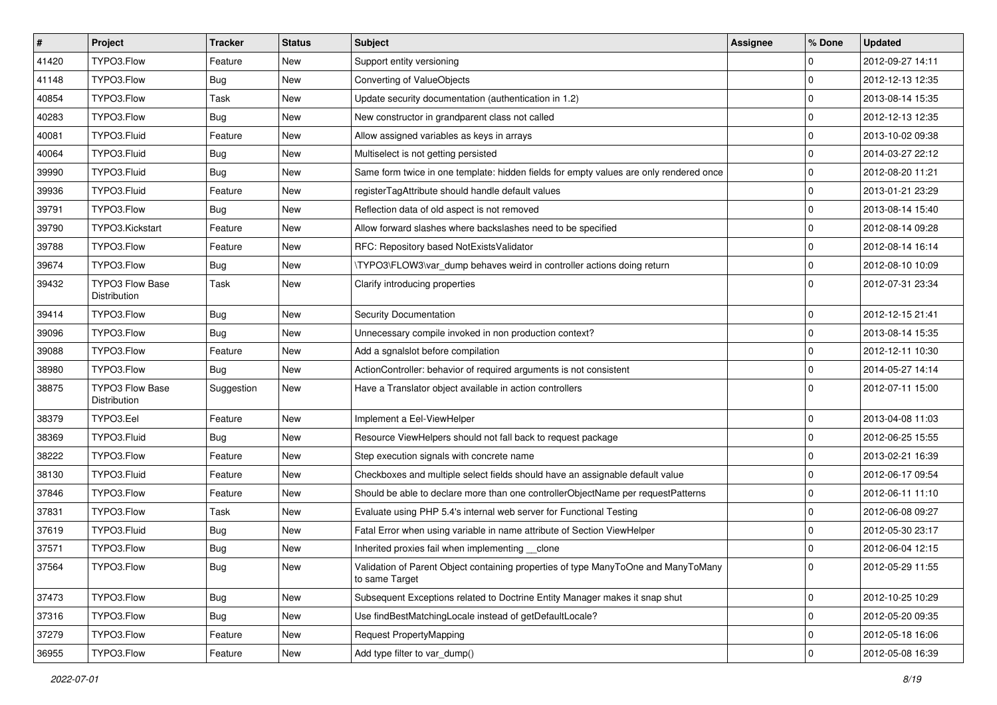| $\vert$ # | Project                         | <b>Tracker</b> | <b>Status</b> | Subject                                                                                              | <b>Assignee</b> | % Done              | <b>Updated</b>   |
|-----------|---------------------------------|----------------|---------------|------------------------------------------------------------------------------------------------------|-----------------|---------------------|------------------|
| 41420     | TYPO3.Flow                      | Feature        | New           | Support entity versioning                                                                            |                 | $\mathbf 0$         | 2012-09-27 14:11 |
| 41148     | TYPO3.Flow                      | <b>Bug</b>     | <b>New</b>    | Converting of ValueObjects                                                                           |                 | $\mathbf 0$         | 2012-12-13 12:35 |
| 40854     | TYPO3.Flow                      | Task           | New           | Update security documentation (authentication in 1.2)                                                |                 | $\mathbf 0$         | 2013-08-14 15:35 |
| 40283     | TYPO3.Flow                      | <b>Bug</b>     | <b>New</b>    | New constructor in grandparent class not called                                                      |                 | $\mathbf 0$         | 2012-12-13 12:35 |
| 40081     | TYPO3.Fluid                     | Feature        | New           | Allow assigned variables as keys in arrays                                                           |                 | $\mathbf 0$         | 2013-10-02 09:38 |
| 40064     | TYPO3.Fluid                     | Bug            | New           | Multiselect is not getting persisted                                                                 |                 | $\mathbf 0$         | 2014-03-27 22:12 |
| 39990     | TYPO3.Fluid                     | <b>Bug</b>     | New           | Same form twice in one template: hidden fields for empty values are only rendered once               |                 | $\mathbf 0$         | 2012-08-20 11:21 |
| 39936     | TYPO3.Fluid                     | Feature        | New           | registerTagAttribute should handle default values                                                    |                 | $\mathbf 0$         | 2013-01-21 23:29 |
| 39791     | TYPO3.Flow                      | Bug            | New           | Reflection data of old aspect is not removed                                                         |                 | $\pmb{0}$           | 2013-08-14 15:40 |
| 39790     | TYPO3.Kickstart                 | Feature        | <b>New</b>    | Allow forward slashes where backslashes need to be specified                                         |                 | 0                   | 2012-08-14 09:28 |
| 39788     | TYPO3.Flow                      | Feature        | New           | RFC: Repository based NotExistsValidator                                                             |                 | $\mathbf 0$         | 2012-08-14 16:14 |
| 39674     | TYPO3.Flow                      | Bug            | <b>New</b>    | \TYPO3\FLOW3\var_dump behaves weird in controller actions doing return                               |                 | $\mathbf 0$         | 2012-08-10 10:09 |
| 39432     | TYPO3 Flow Base<br>Distribution | Task           | New           | Clarify introducing properties                                                                       |                 | $\Omega$            | 2012-07-31 23:34 |
| 39414     | TYPO3.Flow                      | <b>Bug</b>     | <b>New</b>    | Security Documentation                                                                               |                 | $\mathbf 0$         | 2012-12-15 21:41 |
| 39096     | TYPO3.Flow                      | Bug            | New           | Unnecessary compile invoked in non production context?                                               |                 | $\mathbf 0$         | 2013-08-14 15:35 |
| 39088     | TYPO3.Flow                      | Feature        | New           | Add a sgnalslot before compilation                                                                   |                 | $\mathbf 0$         | 2012-12-11 10:30 |
| 38980     | TYPO3.Flow                      | Bug            | New           | ActionController: behavior of required arguments is not consistent                                   |                 | $\mathbf 0$         | 2014-05-27 14:14 |
| 38875     | TYPO3 Flow Base<br>Distribution | Suggestion     | New           | Have a Translator object available in action controllers                                             |                 | $\Omega$            | 2012-07-11 15:00 |
| 38379     | TYPO3.Eel                       | Feature        | New           | Implement a Eel-ViewHelper                                                                           |                 | $\mathbf 0$         | 2013-04-08 11:03 |
| 38369     | TYPO3.Fluid                     | <b>Bug</b>     | <b>New</b>    | Resource ViewHelpers should not fall back to request package                                         |                 | $\mathbf 0$         | 2012-06-25 15:55 |
| 38222     | TYPO3.Flow                      | Feature        | <b>New</b>    | Step execution signals with concrete name                                                            |                 | $\mathbf 0$         | 2013-02-21 16:39 |
| 38130     | TYPO3.Fluid                     | Feature        | New           | Checkboxes and multiple select fields should have an assignable default value                        |                 | $\mathbf 0$         | 2012-06-17 09:54 |
| 37846     | TYPO3.Flow                      | Feature        | New           | Should be able to declare more than one controllerObjectName per requestPatterns                     |                 | $\mathbf 0$         | 2012-06-11 11:10 |
| 37831     | TYPO3.Flow                      | Task           | New           | Evaluate using PHP 5.4's internal web server for Functional Testing                                  |                 | $\mathbf 0$         | 2012-06-08 09:27 |
| 37619     | TYPO3.Fluid                     | Bug            | New           | Fatal Error when using variable in name attribute of Section ViewHelper                              |                 | 0                   | 2012-05-30 23:17 |
| 37571     | TYPO3.Flow                      | <b>Bug</b>     | New           | Inherited proxies fail when implementing __clone                                                     |                 | $\mathbf 0$         | 2012-06-04 12:15 |
| 37564     | TYPO3.Flow                      | <b>Bug</b>     | New           | Validation of Parent Object containing properties of type ManyToOne and ManyToMany<br>to same Target |                 | 0                   | 2012-05-29 11:55 |
| 37473     | TYPO3.Flow                      | <b>Bug</b>     | New           | Subsequent Exceptions related to Doctrine Entity Manager makes it snap shut                          |                 | $\mathsf{O}\xspace$ | 2012-10-25 10:29 |
| 37316     | TYPO3.Flow                      | <b>Bug</b>     | New           | Use findBestMatchingLocale instead of getDefaultLocale?                                              |                 | $\pmb{0}$           | 2012-05-20 09:35 |
| 37279     | TYPO3.Flow                      | Feature        | New           | Request PropertyMapping                                                                              |                 | $\pmb{0}$           | 2012-05-18 16:06 |
| 36955     | TYPO3.Flow                      | Feature        | New           | Add type filter to var_dump()                                                                        |                 | 0                   | 2012-05-08 16:39 |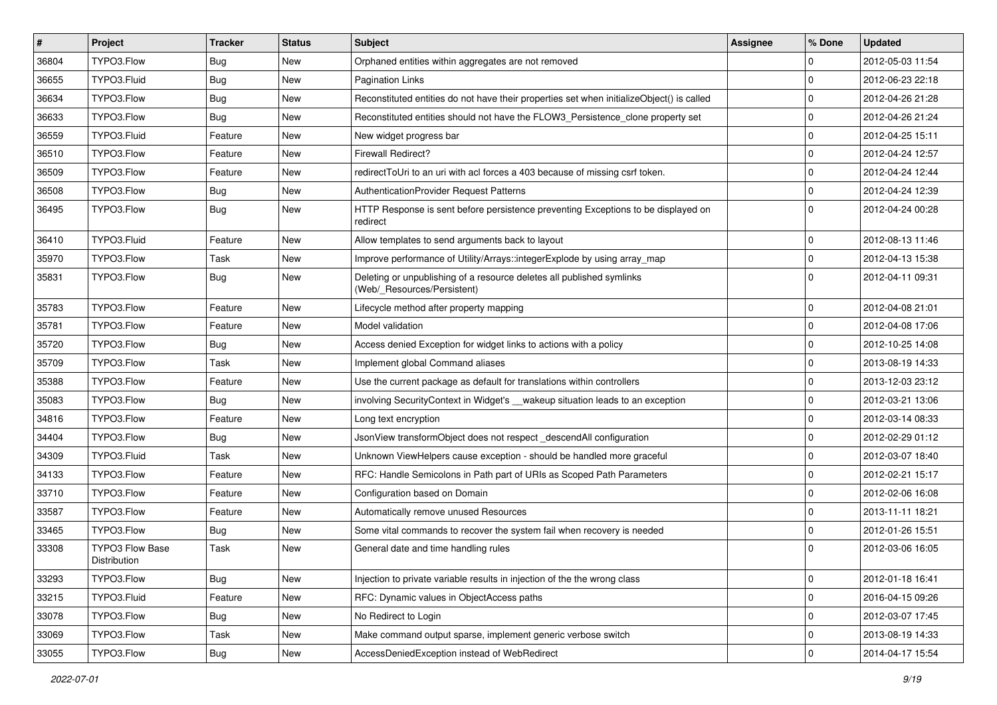| $\sharp$ | Project                                | Tracker    | <b>Status</b> | Subject                                                                                              | <b>Assignee</b> | % Done         | <b>Updated</b>   |
|----------|----------------------------------------|------------|---------------|------------------------------------------------------------------------------------------------------|-----------------|----------------|------------------|
| 36804    | TYPO3.Flow                             | <b>Bug</b> | New           | Orphaned entities within aggregates are not removed                                                  |                 | $\mathbf 0$    | 2012-05-03 11:54 |
| 36655    | TYPO3.Fluid                            | <b>Bug</b> | <b>New</b>    | Pagination Links                                                                                     |                 | $\mathbf 0$    | 2012-06-23 22:18 |
| 36634    | TYPO3.Flow                             | <b>Bug</b> | New           | Reconstituted entities do not have their properties set when initializeObject() is called            |                 | $\mathbf 0$    | 2012-04-26 21:28 |
| 36633    | TYPO3.Flow                             | <b>Bug</b> | New           | Reconstituted entities should not have the FLOW3_Persistence_clone property set                      |                 | $\mathbf 0$    | 2012-04-26 21:24 |
| 36559    | TYPO3.Fluid                            | Feature    | <b>New</b>    | New widget progress bar                                                                              |                 | $\mathbf 0$    | 2012-04-25 15:11 |
| 36510    | TYPO3.Flow                             | Feature    | New           | <b>Firewall Redirect?</b>                                                                            |                 | $\mathbf 0$    | 2012-04-24 12:57 |
| 36509    | TYPO3.Flow                             | Feature    | New           | redirectToUri to an uri with acl forces a 403 because of missing csrf token.                         |                 | $\mathbf 0$    | 2012-04-24 12:44 |
| 36508    | TYPO3.Flow                             | Bug        | New           | AuthenticationProvider Request Patterns                                                              |                 | $\mathbf 0$    | 2012-04-24 12:39 |
| 36495    | TYPO3.Flow                             | Bug        | New           | HTTP Response is sent before persistence preventing Exceptions to be displayed on<br>redirect        |                 | $\Omega$       | 2012-04-24 00:28 |
| 36410    | TYPO3.Fluid                            | Feature    | New           | Allow templates to send arguments back to layout                                                     |                 | $\mathbf 0$    | 2012-08-13 11:46 |
| 35970    | TYPO3.Flow                             | Task       | New           | Improve performance of Utility/Arrays::integerExplode by using array_map                             |                 | $\pmb{0}$      | 2012-04-13 15:38 |
| 35831    | TYPO3.Flow                             | Bug        | New           | Deleting or unpublishing of a resource deletes all published symlinks<br>(Web/_Resources/Persistent) |                 | $\mathbf 0$    | 2012-04-11 09:31 |
| 35783    | TYPO3.Flow                             | Feature    | <b>New</b>    | Lifecycle method after property mapping                                                              |                 | $\mathbf 0$    | 2012-04-08 21:01 |
| 35781    | TYPO3.Flow                             | Feature    | New           | Model validation                                                                                     |                 | $\mathbf 0$    | 2012-04-08 17:06 |
| 35720    | TYPO3.Flow                             | <b>Bug</b> | New           | Access denied Exception for widget links to actions with a policy                                    |                 | $\mathbf 0$    | 2012-10-25 14:08 |
| 35709    | TYPO3.Flow                             | Task       | <b>New</b>    | Implement global Command aliases                                                                     |                 | $\mathbf 0$    | 2013-08-19 14:33 |
| 35388    | TYPO3.Flow                             | Feature    | New           | Use the current package as default for translations within controllers                               |                 | $\mathbf 0$    | 2013-12-03 23:12 |
| 35083    | TYPO3.Flow                             | <b>Bug</b> | New           | involving SecurityContext in Widget's __wakeup situation leads to an exception                       |                 | $\mathbf 0$    | 2012-03-21 13:06 |
| 34816    | TYPO3.Flow                             | Feature    | New           | Long text encryption                                                                                 |                 | $\mathbf 0$    | 2012-03-14 08:33 |
| 34404    | TYPO3.Flow                             | <b>Bug</b> | <b>New</b>    | JsonView transformObject does not respect_descendAll configuration                                   |                 | $\mathbf 0$    | 2012-02-29 01:12 |
| 34309    | TYPO3.Fluid                            | Task       | <b>New</b>    | Unknown ViewHelpers cause exception - should be handled more graceful                                |                 | $\mathbf 0$    | 2012-03-07 18:40 |
| 34133    | TYPO3.Flow                             | Feature    | New           | RFC: Handle Semicolons in Path part of URIs as Scoped Path Parameters                                |                 | $\mathbf 0$    | 2012-02-21 15:17 |
| 33710    | TYPO3.Flow                             | Feature    | New           | Configuration based on Domain                                                                        |                 | $\mathbf 0$    | 2012-02-06 16:08 |
| 33587    | TYPO3.Flow                             | Feature    | New           | Automatically remove unused Resources                                                                |                 | $\mathbf 0$    | 2013-11-11 18:21 |
| 33465    | TYPO3.Flow                             | Bug        | New           | Some vital commands to recover the system fail when recovery is needed                               |                 | $\mathbf 0$    | 2012-01-26 15:51 |
| 33308    | TYPO3 Flow Base<br><b>Distribution</b> | Task       | New           | General date and time handling rules                                                                 |                 | $\Omega$       | 2012-03-06 16:05 |
| 33293    | TYPO3.Flow                             | <b>Bug</b> | New           | Injection to private variable results in injection of the the wrong class                            |                 | $\pmb{0}$      | 2012-01-18 16:41 |
| 33215    | TYPO3.Fluid                            | Feature    | New           | RFC: Dynamic values in ObjectAccess paths                                                            |                 | $\mathbf 0$    | 2016-04-15 09:26 |
| 33078    | TYPO3.Flow                             | <b>Bug</b> | New           | No Redirect to Login                                                                                 |                 | $\pmb{0}$      | 2012-03-07 17:45 |
| 33069    | TYPO3.Flow                             | Task       | New           | Make command output sparse, implement generic verbose switch                                         |                 | $\pmb{0}$      | 2013-08-19 14:33 |
| 33055    | TYPO3.Flow                             | Bug        | New           | AccessDeniedException instead of WebRedirect                                                         |                 | $\overline{0}$ | 2014-04-17 15:54 |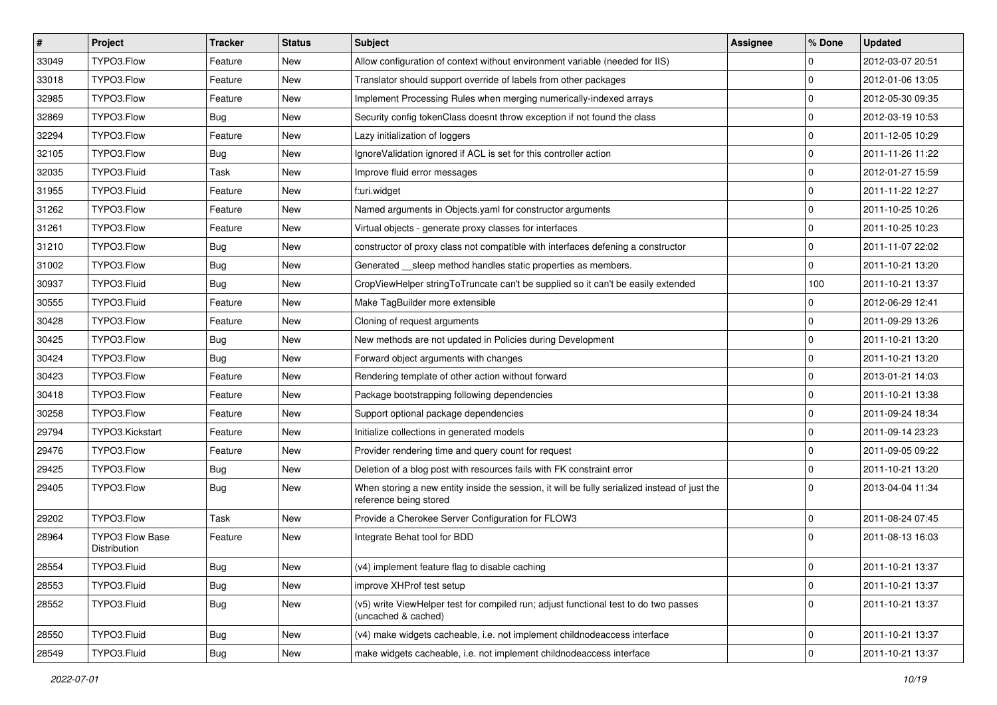| $\vert$ # | Project                                | <b>Tracker</b> | <b>Status</b> | <b>Subject</b>                                                                                                          | Assignee | ∣% Done        | <b>Updated</b>   |
|-----------|----------------------------------------|----------------|---------------|-------------------------------------------------------------------------------------------------------------------------|----------|----------------|------------------|
| 33049     | TYPO3.Flow                             | Feature        | New           | Allow configuration of context without environment variable (needed for IIS)                                            |          | $\mathbf 0$    | 2012-03-07 20:51 |
| 33018     | TYPO3.Flow                             | Feature        | <b>New</b>    | Translator should support override of labels from other packages                                                        |          | $\Omega$       | 2012-01-06 13:05 |
| 32985     | TYPO3.Flow                             | Feature        | New           | Implement Processing Rules when merging numerically-indexed arrays                                                      |          | l 0            | 2012-05-30 09:35 |
| 32869     | TYPO3.Flow                             | <b>Bug</b>     | New           | Security config tokenClass doesnt throw exception if not found the class                                                |          | $\Omega$       | 2012-03-19 10:53 |
| 32294     | TYPO3.Flow                             | Feature        | New           | Lazy initialization of loggers                                                                                          |          | $\Omega$       | 2011-12-05 10:29 |
| 32105     | TYPO3.Flow                             | Bug            | New           | IgnoreValidation ignored if ACL is set for this controller action                                                       |          | $\mathbf 0$    | 2011-11-26 11:22 |
| 32035     | TYPO3.Fluid                            | Task           | New           | Improve fluid error messages                                                                                            |          | $\Omega$       | 2012-01-27 15:59 |
| 31955     | TYPO3.Fluid                            | Feature        | New           | f:uri.widget                                                                                                            |          | l 0            | 2011-11-22 12:27 |
| 31262     | TYPO3.Flow                             | Feature        | New           | Named arguments in Objects.yaml for constructor arguments                                                               |          | $\mathbf 0$    | 2011-10-25 10:26 |
| 31261     | TYPO3.Flow                             | Feature        | New           | Virtual objects - generate proxy classes for interfaces                                                                 |          | $\Omega$       | 2011-10-25 10:23 |
| 31210     | TYPO3.Flow                             | Bug            | New           | constructor of proxy class not compatible with interfaces defening a constructor                                        |          | $\mathbf 0$    | 2011-11-07 22:02 |
| 31002     | TYPO3.Flow                             | Bug            | New           | Generated __sleep method handles static properties as members.                                                          |          | $\Omega$       | 2011-10-21 13:20 |
| 30937     | TYPO3.Fluid                            | Bug            | New           | CropViewHelper stringToTruncate can't be supplied so it can't be easily extended                                        |          | 100            | 2011-10-21 13:37 |
| 30555     | TYPO3.Fluid                            | Feature        | New           | Make TagBuilder more extensible                                                                                         |          | $\mathbf 0$    | 2012-06-29 12:41 |
| 30428     | TYPO3.Flow                             | Feature        | New           | Cloning of request arguments                                                                                            |          | $\Omega$       | 2011-09-29 13:26 |
| 30425     | TYPO3.Flow                             | Bug            | New           | New methods are not updated in Policies during Development                                                              |          | l 0            | 2011-10-21 13:20 |
| 30424     | TYPO3.Flow                             | <b>Bug</b>     | New           | Forward object arguments with changes                                                                                   |          | $\Omega$       | 2011-10-21 13:20 |
| 30423     | TYPO3.Flow                             | Feature        | <b>New</b>    | Rendering template of other action without forward                                                                      |          | $\Omega$       | 2013-01-21 14:03 |
| 30418     | TYPO3.Flow                             | Feature        | New           | Package bootstrapping following dependencies                                                                            |          | 0              | 2011-10-21 13:38 |
| 30258     | TYPO3.Flow                             | Feature        | New           | Support optional package dependencies                                                                                   |          | $\Omega$       | 2011-09-24 18:34 |
| 29794     | TYPO3.Kickstart                        | Feature        | New           | Initialize collections in generated models                                                                              |          | 0              | 2011-09-14 23:23 |
| 29476     | TYPO3.Flow                             | Feature        | New           | Provider rendering time and query count for request                                                                     |          | $\mathbf 0$    | 2011-09-05 09:22 |
| 29425     | TYPO3.Flow                             | Bug            | New           | Deletion of a blog post with resources fails with FK constraint error                                                   |          | $\mathbf{0}$   | 2011-10-21 13:20 |
| 29405     | TYPO3.Flow                             | <b>Bug</b>     | New           | When storing a new entity inside the session, it will be fully serialized instead of just the<br>reference being stored |          | $\Omega$       | 2013-04-04 11:34 |
| 29202     | TYPO3.Flow                             | Task           | <b>New</b>    | Provide a Cherokee Server Configuration for FLOW3                                                                       |          | l 0            | 2011-08-24 07:45 |
| 28964     | <b>TYPO3 Flow Base</b><br>Distribution | Feature        | New           | Integrate Behat tool for BDD                                                                                            |          | $\Omega$       | 2011-08-13 16:03 |
| 28554     | TYPO3.Fluid                            | <b>Bug</b>     | New           | (v4) implement feature flag to disable caching                                                                          |          | 0              | 2011-10-21 13:37 |
| 28553     | TYPO3.Fluid                            | <b>Bug</b>     | New           | improve XHProf test setup                                                                                               |          | 0              | 2011-10-21 13:37 |
| 28552     | TYPO3.Fluid                            | <b>Bug</b>     | New           | (v5) write ViewHelper test for compiled run; adjust functional test to do two passes<br>(uncached & cached)             |          | 0              | 2011-10-21 13:37 |
| 28550     | TYPO3.Fluid                            | <b>Bug</b>     | New           | (v4) make widgets cacheable, i.e. not implement childnodeaccess interface                                               |          | 0              | 2011-10-21 13:37 |
| 28549     | TYPO3.Fluid                            | Bug            | New           | make widgets cacheable, i.e. not implement childnodeaccess interface                                                    |          | $\overline{0}$ | 2011-10-21 13:37 |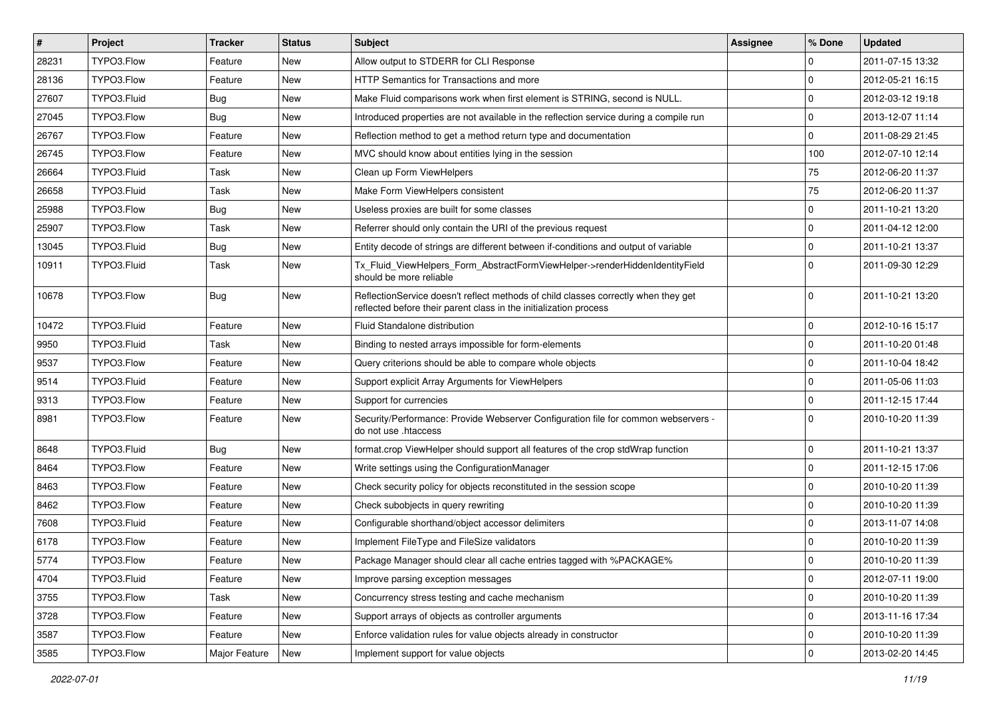| $\vert$ # | Project     | <b>Tracker</b> | <b>Status</b> | <b>Subject</b>                                                                                                                                          | Assignee | ∣% Done        | <b>Updated</b>   |
|-----------|-------------|----------------|---------------|---------------------------------------------------------------------------------------------------------------------------------------------------------|----------|----------------|------------------|
| 28231     | TYPO3.Flow  | Feature        | New           | Allow output to STDERR for CLI Response                                                                                                                 |          | 0              | 2011-07-15 13:32 |
| 28136     | TYPO3.Flow  | Feature        | New           | <b>HTTP Semantics for Transactions and more</b>                                                                                                         |          | $\Omega$       | 2012-05-21 16:15 |
| 27607     | TYPO3.Fluid | Bug            | New           | Make Fluid comparisons work when first element is STRING, second is NULL.                                                                               |          | $\Omega$       | 2012-03-12 19:18 |
| 27045     | TYPO3.Flow  | Bug            | New           | Introduced properties are not available in the reflection service during a compile run                                                                  |          | l 0            | 2013-12-07 11:14 |
| 26767     | TYPO3.Flow  | Feature        | <b>New</b>    | Reflection method to get a method return type and documentation                                                                                         |          | $\mathbf{0}$   | 2011-08-29 21:45 |
| 26745     | TYPO3.Flow  | Feature        | New           | MVC should know about entities lying in the session                                                                                                     |          | 100            | 2012-07-10 12:14 |
| 26664     | TYPO3.Fluid | Task           | New           | Clean up Form ViewHelpers                                                                                                                               |          | 75             | 2012-06-20 11:37 |
| 26658     | TYPO3.Fluid | Task           | New           | Make Form ViewHelpers consistent                                                                                                                        |          | 75             | 2012-06-20 11:37 |
| 25988     | TYPO3.Flow  | <b>Bug</b>     | New           | Useless proxies are built for some classes                                                                                                              |          | $\mathbf 0$    | 2011-10-21 13:20 |
| 25907     | TYPO3.Flow  | Task           | New           | Referrer should only contain the URI of the previous request                                                                                            |          | $\Omega$       | 2011-04-12 12:00 |
| 13045     | TYPO3.Fluid | Bug            | New           | Entity decode of strings are different between if-conditions and output of variable                                                                     |          | $\mathbf 0$    | 2011-10-21 13:37 |
| 10911     | TYPO3.Fluid | Task           | New           | Tx_Fluid_ViewHelpers_Form_AbstractFormViewHelper->renderHiddenIdentityField<br>should be more reliable                                                  |          | $\Omega$       | 2011-09-30 12:29 |
| 10678     | TYPO3.Flow  | Bug            | New           | ReflectionService doesn't reflect methods of child classes correctly when they get<br>reflected before their parent class in the initialization process |          | $\Omega$       | 2011-10-21 13:20 |
| 10472     | TYPO3.Fluid | Feature        | New           | Fluid Standalone distribution                                                                                                                           |          | l 0            | 2012-10-16 15:17 |
| 9950      | TYPO3.Fluid | Task           | New           | Binding to nested arrays impossible for form-elements                                                                                                   |          | 0              | 2011-10-20 01:48 |
| 9537      | TYPO3.Flow  | Feature        | New           | Query criterions should be able to compare whole objects                                                                                                |          | $\Omega$       | 2011-10-04 18:42 |
| 9514      | TYPO3.Fluid | Feature        | New           | Support explicit Array Arguments for ViewHelpers                                                                                                        |          | $\mathbf 0$    | 2011-05-06 11:03 |
| 9313      | TYPO3.Flow  | Feature        | New           | Support for currencies                                                                                                                                  |          | $\Omega$       | 2011-12-15 17:44 |
| 8981      | TYPO3.Flow  | Feature        | New           | Security/Performance: Provide Webserver Configuration file for common webservers -<br>do not use .htaccess                                              |          | $\Omega$       | 2010-10-20 11:39 |
| 8648      | TYPO3.Fluid | Bug            | New           | format.crop ViewHelper should support all features of the crop stdWrap function                                                                         |          | $\Omega$       | 2011-10-21 13:37 |
| 8464      | TYPO3.Flow  | Feature        | New           | Write settings using the ConfigurationManager                                                                                                           |          | l 0            | 2011-12-15 17:06 |
| 8463      | TYPO3.Flow  | Feature        | New           | Check security policy for objects reconstituted in the session scope                                                                                    |          | $\Omega$       | 2010-10-20 11:39 |
| 8462      | TYPO3.Flow  | Feature        | <b>New</b>    | Check subobjects in query rewriting                                                                                                                     |          | $\Omega$       | 2010-10-20 11:39 |
| 7608      | TYPO3.Fluid | Feature        | New           | Configurable shorthand/object accessor delimiters                                                                                                       |          | $\Omega$       | 2013-11-07 14:08 |
| 6178      | TYPO3.Flow  | Feature        | New           | Implement FileType and FileSize validators                                                                                                              |          | $\Omega$       | 2010-10-20 11:39 |
| 5774      | TYPO3.Flow  | Feature        | New           | Package Manager should clear all cache entries tagged with %PACKAGE%                                                                                    |          | l O            | 2010-10-20 11:39 |
| 4704      | TYPO3.Fluid | Feature        | New           | Improve parsing exception messages                                                                                                                      |          | 0              | 2012-07-11 19:00 |
| 3755      | TYPO3.Flow  | Task           | New           | Concurrency stress testing and cache mechanism                                                                                                          |          | 0              | 2010-10-20 11:39 |
| 3728      | TYPO3.Flow  | Feature        | New           | Support arrays of objects as controller arguments                                                                                                       |          | 0              | 2013-11-16 17:34 |
| 3587      | TYPO3.Flow  | Feature        | New           | Enforce validation rules for value objects already in constructor                                                                                       |          | 0              | 2010-10-20 11:39 |
| 3585      | TYPO3.Flow  | Major Feature  | New           | Implement support for value objects                                                                                                                     |          | $\overline{0}$ | 2013-02-20 14:45 |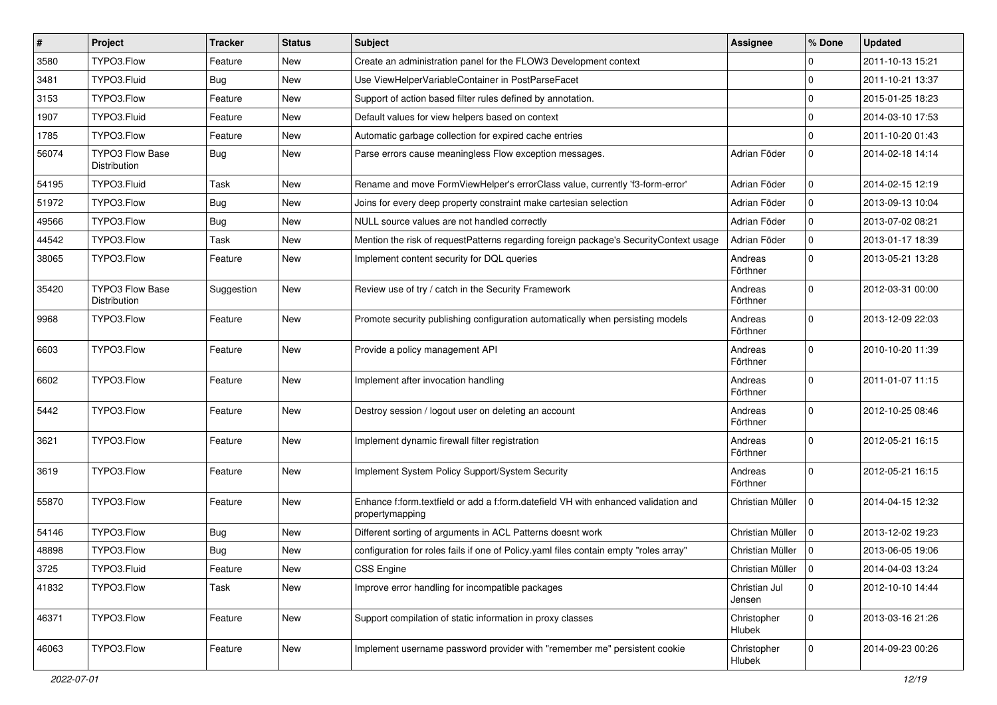| $\vert$ # | Project                                | <b>Tracker</b> | <b>Status</b> | Subject                                                                                               | <b>Assignee</b>         | % Done              | <b>Updated</b>   |
|-----------|----------------------------------------|----------------|---------------|-------------------------------------------------------------------------------------------------------|-------------------------|---------------------|------------------|
| 3580      | TYPO3.Flow                             | Feature        | New           | Create an administration panel for the FLOW3 Development context                                      |                         | $\mathbf 0$         | 2011-10-13 15:21 |
| 3481      | TYPO3.Fluid                            | Bug            | <b>New</b>    | Use ViewHelperVariableContainer in PostParseFacet                                                     |                         | $\mathbf 0$         | 2011-10-21 13:37 |
| 3153      | TYPO3.Flow                             | Feature        | New           | Support of action based filter rules defined by annotation.                                           |                         | $\mathbf 0$         | 2015-01-25 18:23 |
| 1907      | TYPO3.Fluid                            | Feature        | New           | Default values for view helpers based on context                                                      |                         | $\mathbf 0$         | 2014-03-10 17:53 |
| 1785      | TYPO3.Flow                             | Feature        | New           | Automatic garbage collection for expired cache entries                                                |                         | $\mathbf 0$         | 2011-10-20 01:43 |
| 56074     | TYPO3 Flow Base<br>Distribution        | <b>Bug</b>     | New           | Parse errors cause meaningless Flow exception messages.                                               | Adrian Föder            | $\mathbf 0$         | 2014-02-18 14:14 |
| 54195     | TYPO3.Fluid                            | Task           | New           | Rename and move FormViewHelper's errorClass value, currently 'f3-form-error'                          | Adrian Föder            | $\mathbf 0$         | 2014-02-15 12:19 |
| 51972     | TYPO3.Flow                             | <b>Bug</b>     | New           | Joins for every deep property constraint make cartesian selection                                     | Adrian Föder            | 0                   | 2013-09-13 10:04 |
| 49566     | TYPO3.Flow                             | Bug            | New           | NULL source values are not handled correctly                                                          | Adrian Föder            | $\mathbf 0$         | 2013-07-02 08:21 |
| 44542     | TYPO3.Flow                             | Task           | New           | Mention the risk of requestPatterns regarding foreign package's SecurityContext usage                 | Adrian Föder            | $\mathsf{O}\xspace$ | 2013-01-17 18:39 |
| 38065     | TYPO3.Flow                             | Feature        | New           | Implement content security for DQL queries                                                            | Andreas<br>Förthner     | $\mathbf 0$         | 2013-05-21 13:28 |
| 35420     | <b>TYPO3 Flow Base</b><br>Distribution | Suggestion     | New           | Review use of try / catch in the Security Framework                                                   | Andreas<br>Förthner     | $\mathbf 0$         | 2012-03-31 00:00 |
| 9968      | TYPO3.Flow                             | Feature        | New           | Promote security publishing configuration automatically when persisting models                        | Andreas<br>Förthner     | $\mathbf 0$         | 2013-12-09 22:03 |
| 6603      | TYPO3.Flow                             | Feature        | New           | Provide a policy management API                                                                       | Andreas<br>Förthner     | $\mathbf 0$         | 2010-10-20 11:39 |
| 6602      | TYPO3.Flow                             | Feature        | New           | Implement after invocation handling                                                                   | Andreas<br>Förthner     | $\Omega$            | 2011-01-07 11:15 |
| 5442      | TYPO3.Flow                             | Feature        | New           | Destroy session / logout user on deleting an account                                                  | Andreas<br>Förthner     | $\Omega$            | 2012-10-25 08:46 |
| 3621      | TYPO3.Flow                             | Feature        | New           | Implement dynamic firewall filter registration                                                        | Andreas<br>Förthner     | $\Omega$            | 2012-05-21 16:15 |
| 3619      | TYPO3.Flow                             | Feature        | New           | Implement System Policy Support/System Security                                                       | Andreas<br>Förthner     | $\Omega$            | 2012-05-21 16:15 |
| 55870     | TYPO3.Flow                             | Feature        | New           | Enhance f:form.textfield or add a f:form.datefield VH with enhanced validation and<br>propertymapping | Christian Müller        | $\Omega$            | 2014-04-15 12:32 |
| 54146     | TYPO3.Flow                             | Bug            | New           | Different sorting of arguments in ACL Patterns doesnt work                                            | Christian Müller        | 0                   | 2013-12-02 19:23 |
| 48898     | TYPO3.Flow                             | <b>Bug</b>     | New           | configuration for roles fails if one of Policy.yaml files contain empty "roles array"                 | Christian Müller        | 0                   | 2013-06-05 19:06 |
| 3725      | TYPO3.Fluid                            | Feature        | New           | CSS Engine                                                                                            | Christian Müller        | $ 0\rangle$         | 2014-04-03 13:24 |
| 41832     | TYPO3.Flow                             | Task           | New           | Improve error handling for incompatible packages                                                      | Christian Jul<br>Jensen | $\mathbf 0$         | 2012-10-10 14:44 |
| 46371     | TYPO3.Flow                             | Feature        | New           | Support compilation of static information in proxy classes                                            | Christopher<br>Hlubek   | $\mathbf 0$         | 2013-03-16 21:26 |
| 46063     | TYPO3.Flow                             | Feature        | New           | Implement username password provider with "remember me" persistent cookie                             | Christopher<br>Hlubek   | $\mathbf 0$         | 2014-09-23 00:26 |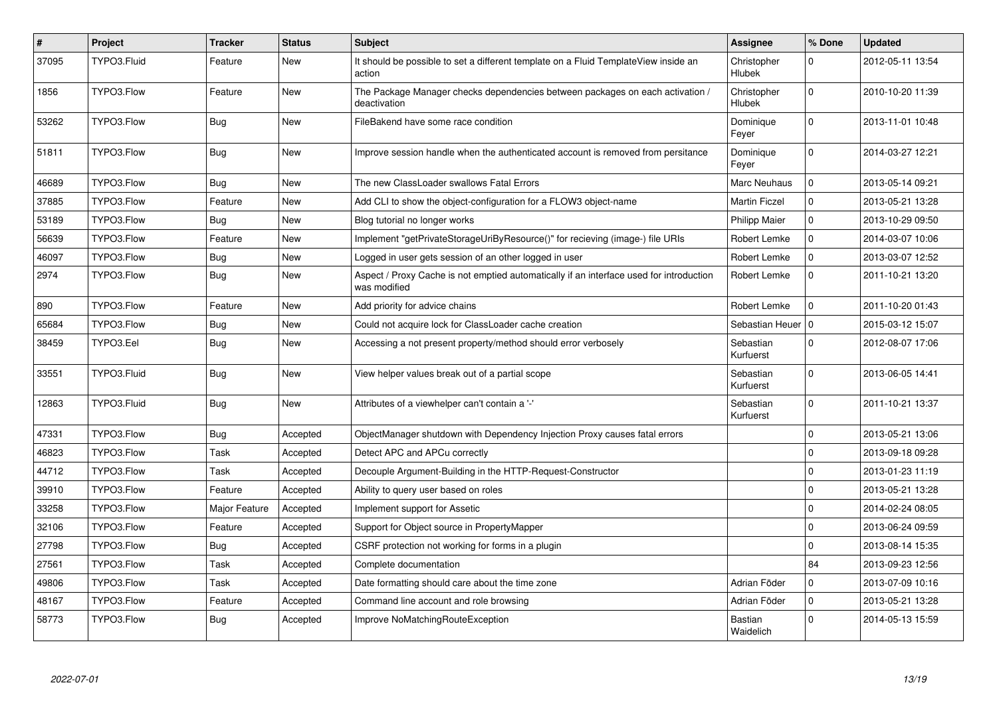| $\pmb{\#}$ | Project     | <b>Tracker</b> | <b>Status</b> | <b>Subject</b>                                                                                          | Assignee                    | % Done              | <b>Updated</b>   |
|------------|-------------|----------------|---------------|---------------------------------------------------------------------------------------------------------|-----------------------------|---------------------|------------------|
| 37095      | TYPO3.Fluid | Feature        | <b>New</b>    | It should be possible to set a different template on a Fluid TemplateView inside an<br>action           | Christopher<br>Hlubek       | $\Omega$            | 2012-05-11 13:54 |
| 1856       | TYPO3.Flow  | Feature        | New           | The Package Manager checks dependencies between packages on each activation /<br>deactivation           | Christopher<br>Hlubek       | 0                   | 2010-10-20 11:39 |
| 53262      | TYPO3.Flow  | Bug            | New           | FileBakend have some race condition                                                                     | Dominique<br>Feyer          | $\Omega$            | 2013-11-01 10:48 |
| 51811      | TYPO3.Flow  | <b>Bug</b>     | <b>New</b>    | Improve session handle when the authenticated account is removed from persitance                        | Dominique<br>Feyer          | $\Omega$            | 2014-03-27 12:21 |
| 46689      | TYPO3.Flow  | Bug            | <b>New</b>    | The new ClassLoader swallows Fatal Errors                                                               | Marc Neuhaus                | $\mathbf 0$         | 2013-05-14 09:21 |
| 37885      | TYPO3.Flow  | Feature        | New           | Add CLI to show the object-configuration for a FLOW3 object-name                                        | <b>Martin Ficzel</b>        | $\pmb{0}$           | 2013-05-21 13:28 |
| 53189      | TYPO3.Flow  | Bug            | New           | Blog tutorial no longer works                                                                           | <b>Philipp Maier</b>        | $\mathsf{O}\xspace$ | 2013-10-29 09:50 |
| 56639      | TYPO3.Flow  | Feature        | New           | Implement "getPrivateStorageUriByResource()" for recieving (image-) file URIs                           | Robert Lemke                | $\mathbf 0$         | 2014-03-07 10:06 |
| 46097      | TYPO3.Flow  | <b>Bug</b>     | New           | Logged in user gets session of an other logged in user                                                  | Robert Lemke                | 0                   | 2013-03-07 12:52 |
| 2974       | TYPO3.Flow  | Bug            | New           | Aspect / Proxy Cache is not emptied automatically if an interface used for introduction<br>was modified | Robert Lemke                | $\mathbf 0$         | 2011-10-21 13:20 |
| 890        | TYPO3.Flow  | Feature        | New           | Add priority for advice chains                                                                          | Robert Lemke                | $\Omega$            | 2011-10-20 01:43 |
| 65684      | TYPO3.Flow  | Bug            | <b>New</b>    | Could not acquire lock for ClassLoader cache creation                                                   | Sebastian Heuer   0         |                     | 2015-03-12 15:07 |
| 38459      | TYPO3.Eel   | <b>Bug</b>     | <b>New</b>    | Accessing a not present property/method should error verbosely                                          | Sebastian<br>Kurfuerst      | $\Omega$            | 2012-08-07 17:06 |
| 33551      | TYPO3.Fluid | Bug            | <b>New</b>    | View helper values break out of a partial scope                                                         | Sebastian<br>Kurfuerst      | $\Omega$            | 2013-06-05 14:41 |
| 12863      | TYPO3.Fluid | <b>Bug</b>     | <b>New</b>    | Attributes of a viewhelper can't contain a '-'                                                          | Sebastian<br>Kurfuerst      | $\mathbf{0}$        | 2011-10-21 13:37 |
| 47331      | TYPO3.Flow  | <b>Bug</b>     | Accepted      | ObjectManager shutdown with Dependency Injection Proxy causes fatal errors                              |                             | $\Omega$            | 2013-05-21 13:06 |
| 46823      | TYPO3.Flow  | Task           | Accepted      | Detect APC and APCu correctly                                                                           |                             | $\mathbf{0}$        | 2013-09-18 09:28 |
| 44712      | TYPO3.Flow  | Task           | Accepted      | Decouple Argument-Building in the HTTP-Request-Constructor                                              |                             | $\Omega$            | 2013-01-23 11:19 |
| 39910      | TYPO3.Flow  | Feature        | Accepted      | Ability to query user based on roles                                                                    |                             | $\mathbf 0$         | 2013-05-21 13:28 |
| 33258      | TYPO3.Flow  | Major Feature  | Accepted      | Implement support for Assetic                                                                           |                             | $\mathbf 0$         | 2014-02-24 08:05 |
| 32106      | TYPO3.Flow  | Feature        | Accepted      | Support for Object source in PropertyMapper                                                             |                             | $\mathbf{0}$        | 2013-06-24 09:59 |
| 27798      | TYPO3.Flow  | <b>Bug</b>     | Accepted      | CSRF protection not working for forms in a plugin                                                       |                             | 0                   | 2013-08-14 15:35 |
| 27561      | TYPO3.Flow  | Task           | Accepted      | Complete documentation                                                                                  |                             | 84                  | 2013-09-23 12:56 |
| 49806      | TYPO3.Flow  | Task           | Accepted      | Date formatting should care about the time zone                                                         | Adrian Föder                | 0                   | 2013-07-09 10:16 |
| 48167      | TYPO3.Flow  | Feature        | Accepted      | Command line account and role browsing                                                                  | Adrian Föder                | 0                   | 2013-05-21 13:28 |
| 58773      | TYPO3.Flow  | Bug            | Accepted      | Improve NoMatchingRouteException                                                                        | <b>Bastian</b><br>Waidelich | $\Omega$            | 2014-05-13 15:59 |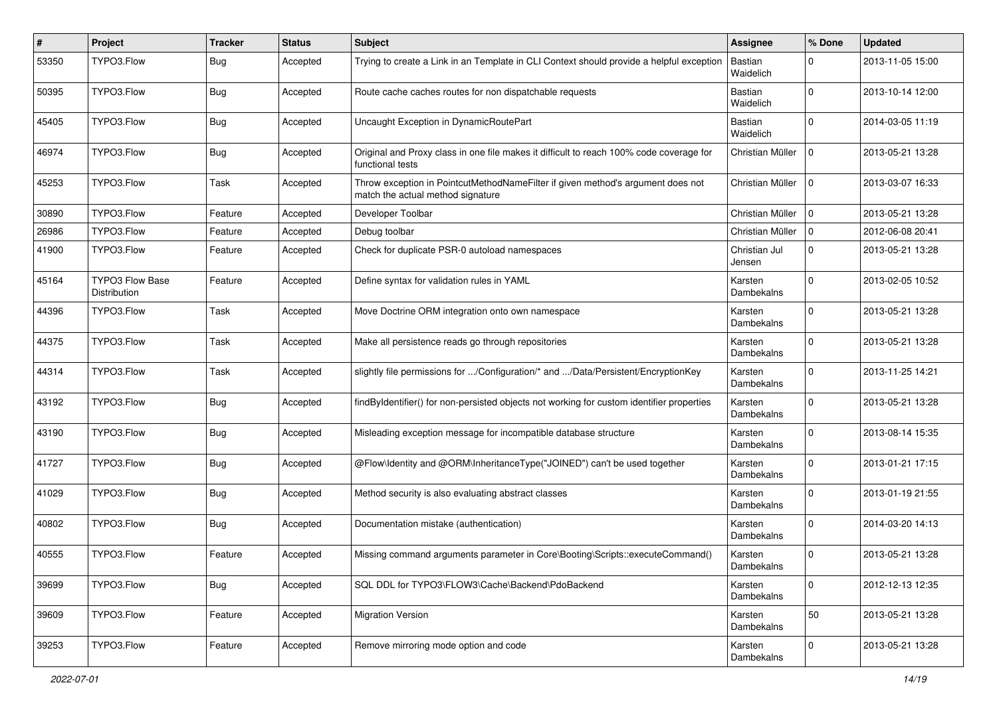| ∦     | Project                         | <b>Tracker</b> | <b>Status</b> | <b>Subject</b>                                                                                                       | <b>Assignee</b>              | % Done       | <b>Updated</b>   |
|-------|---------------------------------|----------------|---------------|----------------------------------------------------------------------------------------------------------------------|------------------------------|--------------|------------------|
| 53350 | TYPO3.Flow                      | Bug            | Accepted      | Trying to create a Link in an Template in CLI Context should provide a helpful exception                             | Bastian<br>Waidelich         | $\Omega$     | 2013-11-05 15:00 |
| 50395 | TYPO3.Flow                      | Bug            | Accepted      | Route cache caches routes for non dispatchable requests                                                              | Bastian<br>Waidelich         | $\Omega$     | 2013-10-14 12:00 |
| 45405 | TYPO3.Flow                      | Bug            | Accepted      | Uncaught Exception in DynamicRoutePart                                                                               | <b>Bastian</b><br>Waidelich  | $\mathbf 0$  | 2014-03-05 11:19 |
| 46974 | TYPO3.Flow                      | Bug            | Accepted      | Original and Proxy class in one file makes it difficult to reach 100% code coverage for<br>functional tests          | Christian Müller             | 0            | 2013-05-21 13:28 |
| 45253 | TYPO3.Flow                      | Task           | Accepted      | Throw exception in PointcutMethodNameFilter if given method's argument does not<br>match the actual method signature | Christian Müller             | 0            | 2013-03-07 16:33 |
| 30890 | TYPO3.Flow                      | Feature        | Accepted      | Developer Toolbar                                                                                                    | Christian Müller             | $\mathbf 0$  | 2013-05-21 13:28 |
| 26986 | TYPO3.Flow                      | Feature        | Accepted      | Debug toolbar                                                                                                        | Christian Müller             | $\Omega$     | 2012-06-08 20:41 |
| 41900 | TYPO3.Flow                      | Feature        | Accepted      | Check for duplicate PSR-0 autoload namespaces                                                                        | Christian Jul<br>Jensen      | $\mathbf 0$  | 2013-05-21 13:28 |
| 45164 | TYPO3 Flow Base<br>Distribution | Feature        | Accepted      | Define syntax for validation rules in YAML                                                                           | Karsten<br><b>Dambekalns</b> | $\Omega$     | 2013-02-05 10:52 |
| 44396 | TYPO3.Flow                      | Task           | Accepted      | Move Doctrine ORM integration onto own namespace                                                                     | Karsten<br>Dambekalns        | $\Omega$     | 2013-05-21 13:28 |
| 44375 | TYPO3.Flow                      | Task           | Accepted      | Make all persistence reads go through repositories                                                                   | Karsten<br><b>Dambekalns</b> | $\Omega$     | 2013-05-21 13:28 |
| 44314 | TYPO3.Flow                      | Task           | Accepted      | slightly file permissions for /Configuration/* and /Data/Persistent/EncryptionKey                                    | Karsten<br>Dambekalns        | $\Omega$     | 2013-11-25 14:21 |
| 43192 | TYPO3.Flow                      | Bug            | Accepted      | findByIdentifier() for non-persisted objects not working for custom identifier properties                            | Karsten<br>Dambekalns        | $\Omega$     | 2013-05-21 13:28 |
| 43190 | TYPO3.Flow                      | <b>Bug</b>     | Accepted      | Misleading exception message for incompatible database structure                                                     | Karsten<br>Dambekalns        | $\Omega$     | 2013-08-14 15:35 |
| 41727 | TYPO3.Flow                      | Bug            | Accepted      | @Flow\Identity and @ORM\InheritanceType("JOINED") can't be used together                                             | Karsten<br>Dambekalns        | $\Omega$     | 2013-01-21 17:15 |
| 41029 | TYPO3.Flow                      | Bug            | Accepted      | Method security is also evaluating abstract classes                                                                  | Karsten<br>Dambekalns        | $\Omega$     | 2013-01-19 21:55 |
| 40802 | TYPO3.Flow                      | Bug            | Accepted      | Documentation mistake (authentication)                                                                               | Karsten<br>Dambekalns        | $\Omega$     | 2014-03-20 14:13 |
| 40555 | TYPO3.Flow                      | Feature        | Accepted      | Missing command arguments parameter in Core\Booting\Scripts::executeCommand()                                        | Karsten<br>Dambekalns        | $\Omega$     | 2013-05-21 13:28 |
| 39699 | TYPO3.Flow                      | <b>Bug</b>     | Accepted      | SQL DDL for TYPO3\FLOW3\Cache\Backend\PdoBackend                                                                     | Karsten<br>Dambekalns        | $\mathbf{0}$ | 2012-12-13 12:35 |
| 39609 | TYPO3.Flow                      | Feature        | Accepted      | <b>Migration Version</b>                                                                                             | Karsten<br>Dambekalns        | 50           | 2013-05-21 13:28 |
| 39253 | TYPO3.Flow                      | Feature        | Accepted      | Remove mirroring mode option and code                                                                                | Karsten<br>Dambekalns        | 0            | 2013-05-21 13:28 |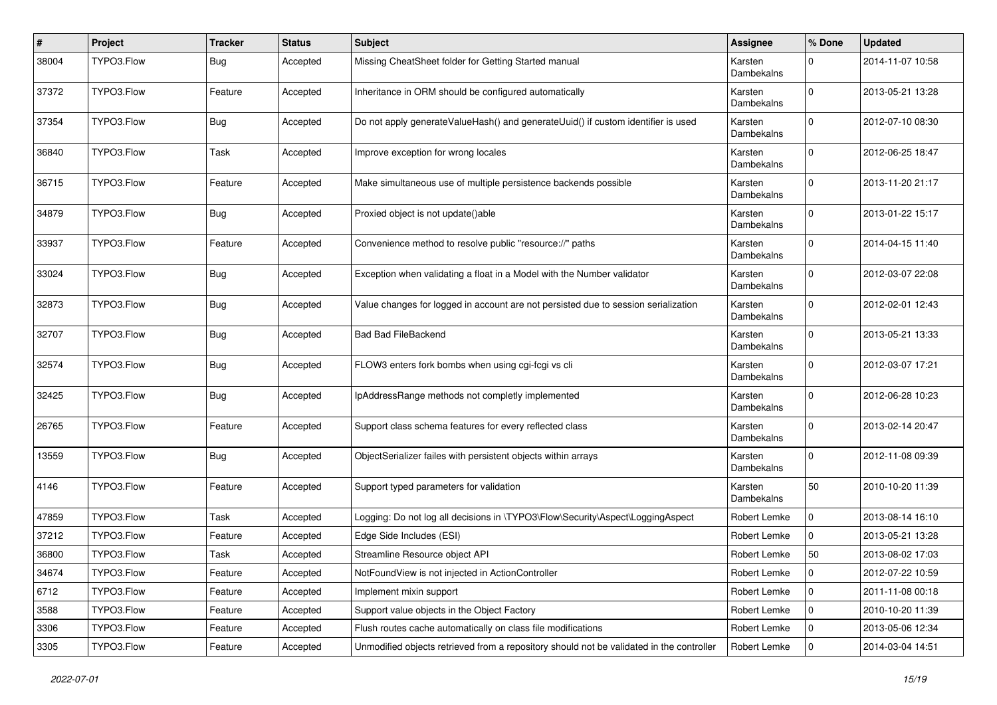| #     | Project    | <b>Tracker</b> | <b>Status</b> | Subject                                                                                  | Assignee              | % Done         | <b>Updated</b>   |
|-------|------------|----------------|---------------|------------------------------------------------------------------------------------------|-----------------------|----------------|------------------|
| 38004 | TYPO3.Flow | Bug            | Accepted      | Missing CheatSheet folder for Getting Started manual                                     | Karsten<br>Dambekalns | $\Omega$       | 2014-11-07 10:58 |
| 37372 | TYPO3.Flow | Feature        | Accepted      | Inheritance in ORM should be configured automatically                                    | Karsten<br>Dambekalns | $\mathbf 0$    | 2013-05-21 13:28 |
| 37354 | TYPO3.Flow | <b>Bug</b>     | Accepted      | Do not apply generateValueHash() and generateUuid() if custom identifier is used         | Karsten<br>Dambekalns | $\Omega$       | 2012-07-10 08:30 |
| 36840 | TYPO3.Flow | Task           | Accepted      | Improve exception for wrong locales                                                      | Karsten<br>Dambekalns | $\mathbf 0$    | 2012-06-25 18:47 |
| 36715 | TYPO3.Flow | Feature        | Accepted      | Make simultaneous use of multiple persistence backends possible                          | Karsten<br>Dambekalns | $\mathbf 0$    | 2013-11-20 21:17 |
| 34879 | TYPO3.Flow | <b>Bug</b>     | Accepted      | Proxied object is not update()able                                                       | Karsten<br>Dambekalns | $\Omega$       | 2013-01-22 15:17 |
| 33937 | TYPO3.Flow | Feature        | Accepted      | Convenience method to resolve public "resource://" paths                                 | Karsten<br>Dambekalns | $\mathbf 0$    | 2014-04-15 11:40 |
| 33024 | TYPO3.Flow | Bug            | Accepted      | Exception when validating a float in a Model with the Number validator                   | Karsten<br>Dambekalns | $\Omega$       | 2012-03-07 22:08 |
| 32873 | TYPO3.Flow | <b>Bug</b>     | Accepted      | Value changes for logged in account are not persisted due to session serialization       | Karsten<br>Dambekalns | $\mathbf 0$    | 2012-02-01 12:43 |
| 32707 | TYPO3.Flow | <b>Bug</b>     | Accepted      | <b>Bad Bad FileBackend</b>                                                               | Karsten<br>Dambekalns | $\mathbf 0$    | 2013-05-21 13:33 |
| 32574 | TYPO3.Flow | <b>Bug</b>     | Accepted      | FLOW3 enters fork bombs when using cgi-fcgi vs cli                                       | Karsten<br>Dambekalns | $\mathbf 0$    | 2012-03-07 17:21 |
| 32425 | TYPO3.Flow | Bug            | Accepted      | IpAddressRange methods not completly implemented                                         | Karsten<br>Dambekalns | $\Omega$       | 2012-06-28 10:23 |
| 26765 | TYPO3.Flow | Feature        | Accepted      | Support class schema features for every reflected class                                  | Karsten<br>Dambekalns | $\mathbf 0$    | 2013-02-14 20:47 |
| 13559 | TYPO3.Flow | Bug            | Accepted      | ObjectSerializer failes with persistent objects within arrays                            | Karsten<br>Dambekalns | $\Omega$       | 2012-11-08 09:39 |
| 4146  | TYPO3.Flow | Feature        | Accepted      | Support typed parameters for validation                                                  | Karsten<br>Dambekalns | 50             | 2010-10-20 11:39 |
| 47859 | TYPO3.Flow | Task           | Accepted      | Logging: Do not log all decisions in \TYPO3\Flow\Security\Aspect\LoggingAspect           | Robert Lemke          | $\mathbf 0$    | 2013-08-14 16:10 |
| 37212 | TYPO3.Flow | Feature        | Accepted      | Edge Side Includes (ESI)                                                                 | Robert Lemke          | $\mathbf 0$    | 2013-05-21 13:28 |
| 36800 | TYPO3.Flow | Task           | Accepted      | Streamline Resource object API                                                           | Robert Lemke          | 50             | 2013-08-02 17:03 |
| 34674 | TYPO3.Flow | Feature        | Accepted      | NotFoundView is not injected in ActionController                                         | Robert Lemke          | $\overline{0}$ | 2012-07-22 10:59 |
| 6712  | TYPO3.Flow | Feature        | Accepted      | Implement mixin support                                                                  | Robert Lemke          | $\mathbf 0$    | 2011-11-08 00:18 |
| 3588  | TYPO3.Flow | Feature        | Accepted      | Support value objects in the Object Factory                                              | Robert Lemke          | 0              | 2010-10-20 11:39 |
| 3306  | TYPO3.Flow | Feature        | Accepted      | Flush routes cache automatically on class file modifications                             | Robert Lemke          | 0              | 2013-05-06 12:34 |
| 3305  | TYPO3.Flow | Feature        | Accepted      | Unmodified objects retrieved from a repository should not be validated in the controller | Robert Lemke          | $\mathbf 0$    | 2014-03-04 14:51 |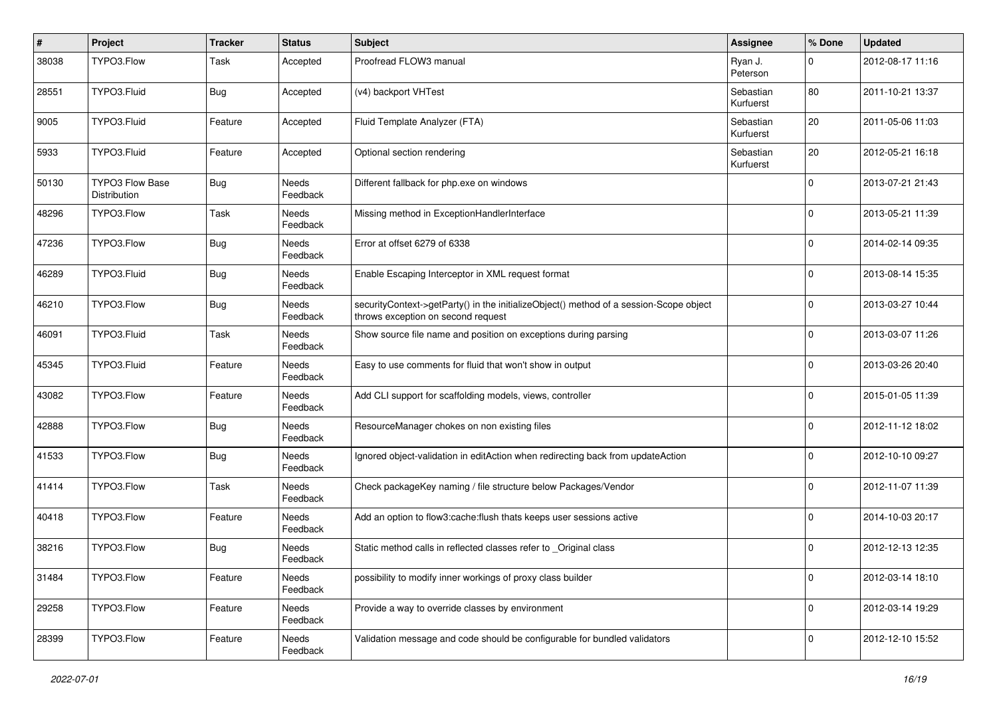| $\sharp$ | Project                         | <b>Tracker</b> | <b>Status</b>     | Subject                                                                                                                      | Assignee               | % Done      | <b>Updated</b>   |
|----------|---------------------------------|----------------|-------------------|------------------------------------------------------------------------------------------------------------------------------|------------------------|-------------|------------------|
| 38038    | TYPO3.Flow                      | Task           | Accepted          | Proofread FLOW3 manual                                                                                                       | Ryan J.<br>Peterson    | 0           | 2012-08-17 11:16 |
| 28551    | TYPO3.Fluid                     | Bug            | Accepted          | (v4) backport VHTest                                                                                                         | Sebastian<br>Kurfuerst | 80          | 2011-10-21 13:37 |
| 9005     | TYPO3.Fluid                     | Feature        | Accepted          | Fluid Template Analyzer (FTA)                                                                                                | Sebastian<br>Kurfuerst | 20          | 2011-05-06 11:03 |
| 5933     | TYPO3.Fluid                     | Feature        | Accepted          | Optional section rendering                                                                                                   | Sebastian<br>Kurfuerst | 20          | 2012-05-21 16:18 |
| 50130    | TYPO3 Flow Base<br>Distribution | <b>Bug</b>     | Needs<br>Feedback | Different fallback for php.exe on windows                                                                                    |                        | $\Omega$    | 2013-07-21 21:43 |
| 48296    | TYPO3.Flow                      | Task           | Needs<br>Feedback | Missing method in ExceptionHandlerInterface                                                                                  |                        | $\Omega$    | 2013-05-21 11:39 |
| 47236    | TYPO3.Flow                      | Bug            | Needs<br>Feedback | Error at offset 6279 of 6338                                                                                                 |                        | 0           | 2014-02-14 09:35 |
| 46289    | TYPO3.Fluid                     | <b>Bug</b>     | Needs<br>Feedback | Enable Escaping Interceptor in XML request format                                                                            |                        | $\Omega$    | 2013-08-14 15:35 |
| 46210    | TYPO3.Flow                      | <b>Bug</b>     | Needs<br>Feedback | securityContext->getParty() in the initializeObject() method of a session-Scope object<br>throws exception on second request |                        | $\Omega$    | 2013-03-27 10:44 |
| 46091    | TYPO3.Fluid                     | Task           | Needs<br>Feedback | Show source file name and position on exceptions during parsing                                                              |                        | $\Omega$    | 2013-03-07 11:26 |
| 45345    | TYPO3.Fluid                     | Feature        | Needs<br>Feedback | Easy to use comments for fluid that won't show in output                                                                     |                        | $\Omega$    | 2013-03-26 20:40 |
| 43082    | TYPO3.Flow                      | Feature        | Needs<br>Feedback | Add CLI support for scaffolding models, views, controller                                                                    |                        | $\Omega$    | 2015-01-05 11:39 |
| 42888    | TYPO3.Flow                      | Bug            | Needs<br>Feedback | ResourceManager chokes on non existing files                                                                                 |                        | $\mathbf 0$ | 2012-11-12 18:02 |
| 41533    | TYPO3.Flow                      | Bug            | Needs<br>Feedback | Ignored object-validation in editAction when redirecting back from updateAction                                              |                        | $\Omega$    | 2012-10-10 09:27 |
| 41414    | TYPO3.Flow                      | Task           | Needs<br>Feedback | Check packageKey naming / file structure below Packages/Vendor                                                               |                        | $\Omega$    | 2012-11-07 11:39 |
| 40418    | TYPO3.Flow                      | Feature        | Needs<br>Feedback | Add an option to flow3:cache:flush thats keeps user sessions active                                                          |                        | 0           | 2014-10-03 20:17 |
| 38216    | TYPO3.Flow                      | Bug            | Needs<br>Feedback | Static method calls in reflected classes refer to _Original class                                                            |                        | 0           | 2012-12-13 12:35 |
| 31484    | TYPO3.Flow                      | Feature        | Needs<br>Feedback | possibility to modify inner workings of proxy class builder                                                                  |                        | $\mathbf 0$ | 2012-03-14 18:10 |
| 29258    | TYPO3.Flow                      | Feature        | Needs<br>Feedback | Provide a way to override classes by environment                                                                             |                        | $\mathbf 0$ | 2012-03-14 19:29 |
| 28399    | TYPO3.Flow                      | Feature        | Needs<br>Feedback | Validation message and code should be configurable for bundled validators                                                    |                        | $\mathbf 0$ | 2012-12-10 15:52 |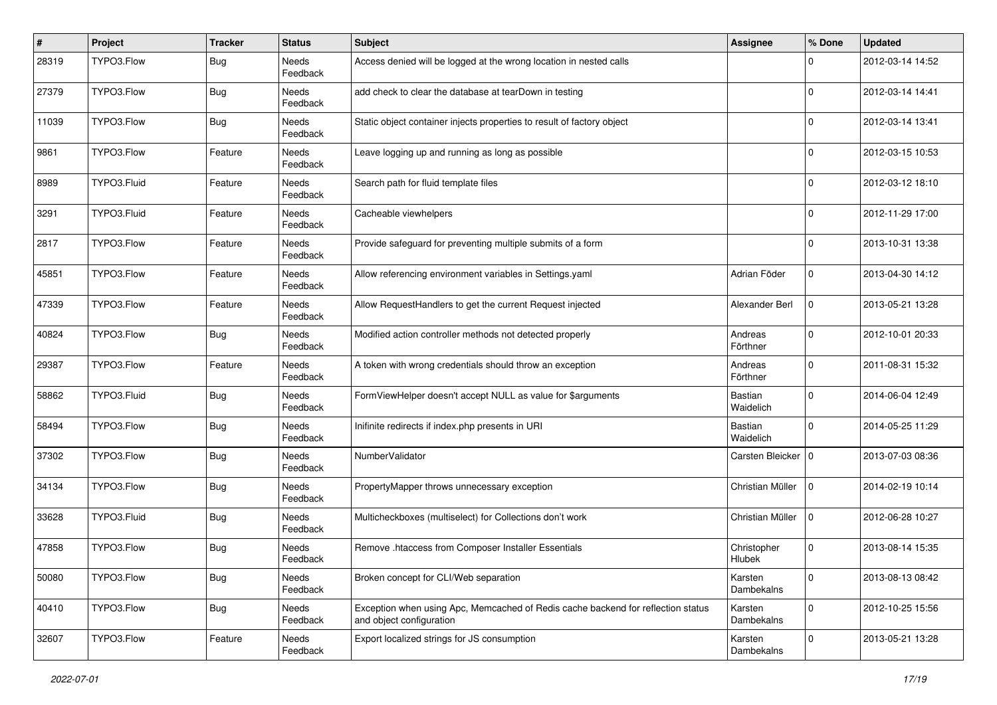| $\sharp$ | Project     | <b>Tracker</b> | <b>Status</b>     | <b>Subject</b>                                                                                               | <b>Assignee</b>       | % Done      | <b>Updated</b>   |
|----------|-------------|----------------|-------------------|--------------------------------------------------------------------------------------------------------------|-----------------------|-------------|------------------|
| 28319    | TYPO3.Flow  | Bug            | Needs<br>Feedback | Access denied will be logged at the wrong location in nested calls                                           |                       | 0           | 2012-03-14 14:52 |
| 27379    | TYPO3.Flow  | Bug            | Needs<br>Feedback | add check to clear the database at tearDown in testing                                                       |                       | $\mathbf 0$ | 2012-03-14 14:41 |
| 11039    | TYPO3.Flow  | Bug            | Needs<br>Feedback | Static object container injects properties to result of factory object                                       |                       | $\mathbf 0$ | 2012-03-14 13:41 |
| 9861     | TYPO3.Flow  | Feature        | Needs<br>Feedback | Leave logging up and running as long as possible                                                             |                       | $\mathbf 0$ | 2012-03-15 10:53 |
| 8989     | TYPO3.Fluid | Feature        | Needs<br>Feedback | Search path for fluid template files                                                                         |                       | $\mathbf 0$ | 2012-03-12 18:10 |
| 3291     | TYPO3.Fluid | Feature        | Needs<br>Feedback | Cacheable viewhelpers                                                                                        |                       | $\mathbf 0$ | 2012-11-29 17:00 |
| 2817     | TYPO3.Flow  | Feature        | Needs<br>Feedback | Provide safeguard for preventing multiple submits of a form                                                  |                       | $\Omega$    | 2013-10-31 13:38 |
| 45851    | TYPO3.Flow  | Feature        | Needs<br>Feedback | Allow referencing environment variables in Settings.yaml                                                     | Adrian Föder          | $\mathbf 0$ | 2013-04-30 14:12 |
| 47339    | TYPO3.Flow  | Feature        | Needs<br>Feedback | Allow RequestHandlers to get the current Request injected                                                    | Alexander Berl        | $\mathbf 0$ | 2013-05-21 13:28 |
| 40824    | TYPO3.Flow  | Bug            | Needs<br>Feedback | Modified action controller methods not detected properly                                                     | Andreas<br>Förthner   | $\mathbf 0$ | 2012-10-01 20:33 |
| 29387    | TYPO3.Flow  | Feature        | Needs<br>Feedback | A token with wrong credentials should throw an exception                                                     | Andreas<br>Förthner   | $\mathbf 0$ | 2011-08-31 15:32 |
| 58862    | TYPO3.Fluid | <b>Bug</b>     | Needs<br>Feedback | FormViewHelper doesn't accept NULL as value for \$arguments                                                  | Bastian<br>Waidelich  | $\mathbf 0$ | 2014-06-04 12:49 |
| 58494    | TYPO3.Flow  | Bug            | Needs<br>Feedback | Inifinite redirects if index.php presents in URI                                                             | Bastian<br>Waidelich  | $\mathbf 0$ | 2014-05-25 11:29 |
| 37302    | TYPO3.Flow  | <b>Bug</b>     | Needs<br>Feedback | NumberValidator                                                                                              | Carsten Bleicker   0  |             | 2013-07-03 08:36 |
| 34134    | TYPO3.Flow  | <b>Bug</b>     | Needs<br>Feedback | PropertyMapper throws unnecessary exception                                                                  | Christian Müller      | $\mathbf 0$ | 2014-02-19 10:14 |
| 33628    | TYPO3.Fluid | Bug            | Needs<br>Feedback | Multicheckboxes (multiselect) for Collections don't work                                                     | Christian Müller      | $\mathbf 0$ | 2012-06-28 10:27 |
| 47858    | TYPO3.Flow  | Bug            | Needs<br>Feedback | Remove .htaccess from Composer Installer Essentials                                                          | Christopher<br>Hlubek | $\mathbf 0$ | 2013-08-14 15:35 |
| 50080    | TYPO3.Flow  | <b>Bug</b>     | Needs<br>Feedback | Broken concept for CLI/Web separation                                                                        | Karsten<br>Dambekalns | $\mathbf 0$ | 2013-08-13 08:42 |
| 40410    | TYPO3.Flow  | <b>Bug</b>     | Needs<br>Feedback | Exception when using Apc, Memcached of Redis cache backend for reflection status<br>and object configuration | Karsten<br>Dambekalns | $\mathbf 0$ | 2012-10-25 15:56 |
| 32607    | TYPO3.Flow  | Feature        | Needs<br>Feedback | Export localized strings for JS consumption                                                                  | Karsten<br>Dambekalns | $\mathbf 0$ | 2013-05-21 13:28 |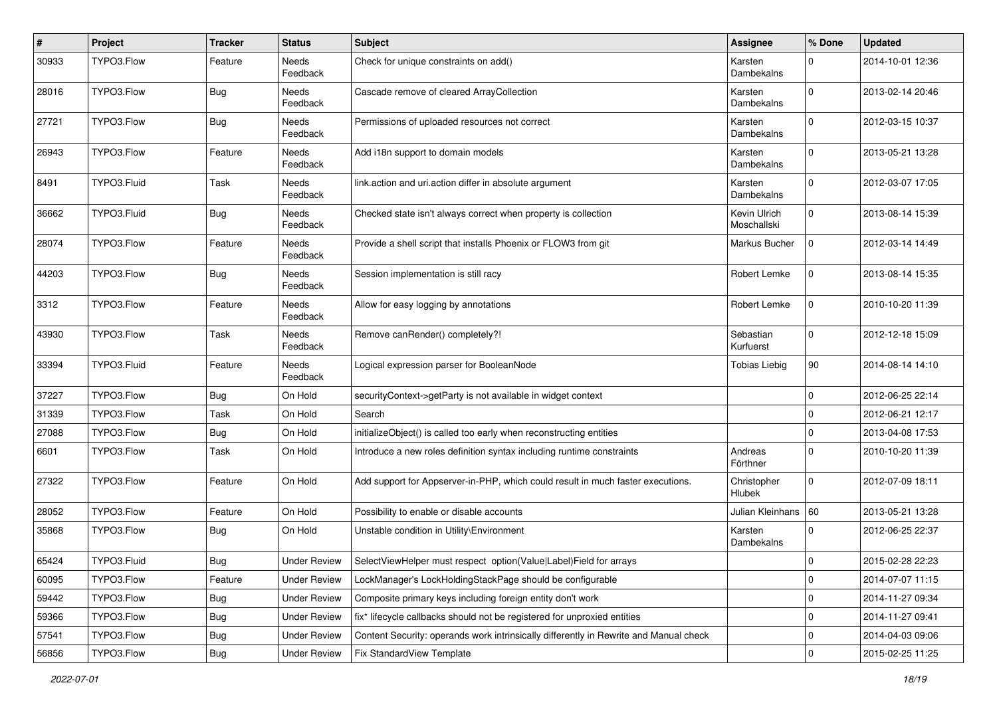| $\sharp$ | Project     | <b>Tracker</b>   | <b>Status</b>       | Subject                                                                               | <b>Assignee</b>             | % Done       | <b>Updated</b>   |
|----------|-------------|------------------|---------------------|---------------------------------------------------------------------------------------|-----------------------------|--------------|------------------|
| 30933    | TYPO3.Flow  | Feature          | Needs<br>Feedback   | Check for unique constraints on add()                                                 | Karsten<br>Dambekalns       | $\mathbf 0$  | 2014-10-01 12:36 |
| 28016    | TYPO3.Flow  | Bug              | Needs<br>Feedback   | Cascade remove of cleared ArrayCollection                                             | Karsten<br>Dambekalns       | $\mathbf 0$  | 2013-02-14 20:46 |
| 27721    | TYPO3.Flow  | Bug              | Needs<br>Feedback   | Permissions of uploaded resources not correct                                         | Karsten<br>Dambekalns       | $\mathbf 0$  | 2012-03-15 10:37 |
| 26943    | TYPO3.Flow  | Feature          | Needs<br>Feedback   | Add i18n support to domain models                                                     | Karsten<br>Dambekalns       | $\mathbf{0}$ | 2013-05-21 13:28 |
| 8491     | TYPO3.Fluid | Task             | Needs<br>Feedback   | link.action and uri.action differ in absolute argument                                | Karsten<br>Dambekalns       | $\mathbf 0$  | 2012-03-07 17:05 |
| 36662    | TYPO3.Fluid | Bug              | Needs<br>Feedback   | Checked state isn't always correct when property is collection                        | Kevin Ulrich<br>Moschallski | $\mathbf 0$  | 2013-08-14 15:39 |
| 28074    | TYPO3.Flow  | Feature          | Needs<br>Feedback   | Provide a shell script that installs Phoenix or FLOW3 from git                        | Markus Bucher               | $\mathbf 0$  | 2012-03-14 14:49 |
| 44203    | TYPO3.Flow  | <b>Bug</b>       | Needs<br>Feedback   | Session implementation is still racy                                                  | Robert Lemke                | $\mathbf 0$  | 2013-08-14 15:35 |
| 3312     | TYPO3.Flow  | Feature          | Needs<br>Feedback   | Allow for easy logging by annotations                                                 | Robert Lemke                | $\mathbf 0$  | 2010-10-20 11:39 |
| 43930    | TYPO3.Flow  | Task             | Needs<br>Feedback   | Remove canRender() completely?!                                                       | Sebastian<br>Kurfuerst      | $\mathbf 0$  | 2012-12-18 15:09 |
| 33394    | TYPO3.Fluid | Feature          | Needs<br>Feedback   | Logical expression parser for BooleanNode                                             | <b>Tobias Liebig</b>        | 90           | 2014-08-14 14:10 |
| 37227    | TYPO3.Flow  | Bug              | On Hold             | securityContext->getParty is not available in widget context                          |                             | $\mathbf 0$  | 2012-06-25 22:14 |
| 31339    | TYPO3.Flow  | Task             | On Hold             | Search                                                                                |                             | $\mathbf 0$  | 2012-06-21 12:17 |
| 27088    | TYPO3.Flow  | <b>Bug</b>       | On Hold             | initializeObject() is called too early when reconstructing entities                   |                             | $\pmb{0}$    | 2013-04-08 17:53 |
| 6601     | TYPO3.Flow  | Task             | On Hold             | Introduce a new roles definition syntax including runtime constraints                 | Andreas<br>Förthner         | $\mathbf 0$  | 2010-10-20 11:39 |
| 27322    | TYPO3.Flow  | Feature          | On Hold             | Add support for Appserver-in-PHP, which could result in much faster executions.       | Christopher<br>Hlubek       | $\mathbf 0$  | 2012-07-09 18:11 |
| 28052    | TYPO3.Flow  | Feature          | On Hold             | Possibility to enable or disable accounts                                             | Julian Kleinhans   60       |              | 2013-05-21 13:28 |
| 35868    | TYPO3.Flow  | Bug              | On Hold             | Unstable condition in Utility\Environment                                             | Karsten<br>Dambekalns       | $\mathbf 0$  | 2012-06-25 22:37 |
| 65424    | TYPO3.Fluid | <sub>i</sub> Bug | Under Review        | SelectViewHelper must respect option(Value Label)Field for arrays                     |                             | 0            | 2015-02-28 22:23 |
| 60095    | TYPO3.Flow  | Feature          | <b>Under Review</b> | LockManager's LockHoldingStackPage should be configurable                             |                             | 0            | 2014-07-07 11:15 |
| 59442    | TYPO3.Flow  | Bug              | <b>Under Review</b> | Composite primary keys including foreign entity don't work                            |                             | 0            | 2014-11-27 09:34 |
| 59366    | TYPO3.Flow  | Bug              | Under Review        | fix* lifecycle callbacks should not be registered for unproxied entities              |                             | 0            | 2014-11-27 09:41 |
| 57541    | TYPO3.Flow  | <b>Bug</b>       | <b>Under Review</b> | Content Security: operands work intrinsically differently in Rewrite and Manual check |                             | 0            | 2014-04-03 09:06 |
| 56856    | TYPO3.Flow  | Bug              | <b>Under Review</b> | <b>Fix StandardView Template</b>                                                      |                             | $\mathbf 0$  | 2015-02-25 11:25 |